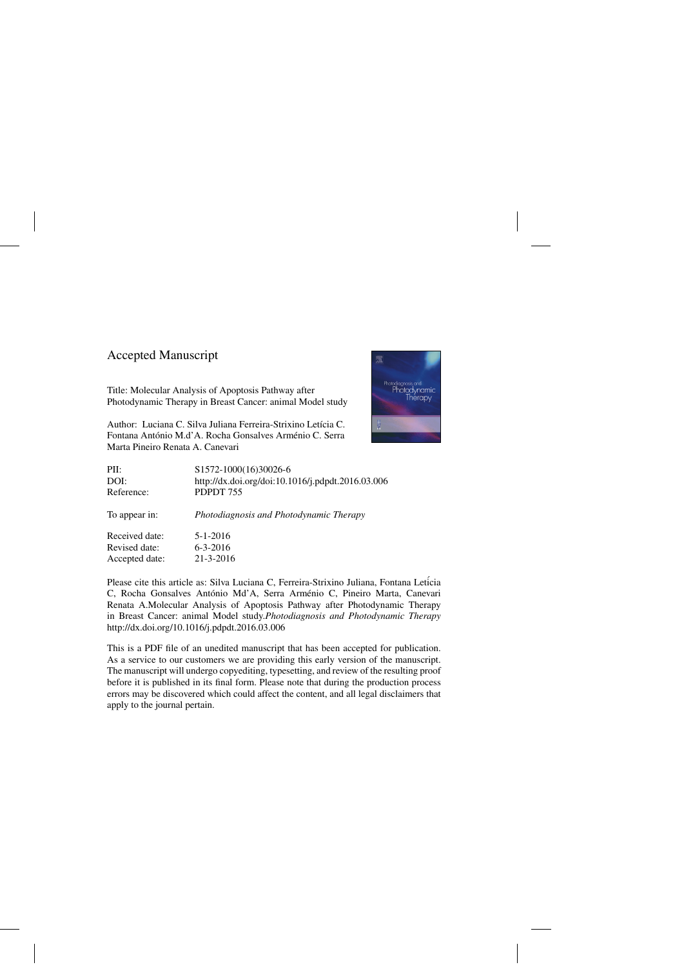### Accepted Manuscript

Title: Molecular Analysis of Apoptosis Pathway after Photodynamic Therapy in Breast Cancer: animal Model study

Author: Luciana C. Silva Juliana Ferreira-Strixino Letícia C. Fontana António M.d'A. Rocha Gonsalves Arménio C. Serra Marta Pineiro Renata A. Canevari



| PII:           | S1572-1000(16)30026-6                             |
|----------------|---------------------------------------------------|
| DOI:           | http://dx.doi.org/doi:10.1016/j.pdpdt.2016.03.006 |
| Reference:     | PDPDT 755                                         |
| To appear in:  | Photodiagnosis and Photodynamic Therapy           |
| Received date: | $5 - 1 - 2016$                                    |
| Revised date:  | $6 - 3 - 2016$                                    |
| Accepted date: | 21-3-2016                                         |
|                |                                                   |

Please cite this article as: Silva Luciana C, Ferreira-Strixino Juliana, Fontana Leticia C, Rocha Gonsalves António Md'A, Serra Arménio C, Pineiro Marta, Canevari Renata A.Molecular Analysis of Apoptosis Pathway after Photodynamic Therapy in Breast Cancer: animal Model study.*Photodiagnosis and Photodynamic Therapy* <http://dx.doi.org/10.1016/j.pdpdt.2016.03.006>

This is a PDF file of an unedited manuscript that has been accepted for publication. As a service to our customers we are providing this early version of the manuscript. The manuscript will undergo copyediting, typesetting, and review of the resulting proof before it is published in its final form. Please note that during the production process errors may be discovered which could affect the content, and all legal disclaimers that apply to the journal pertain.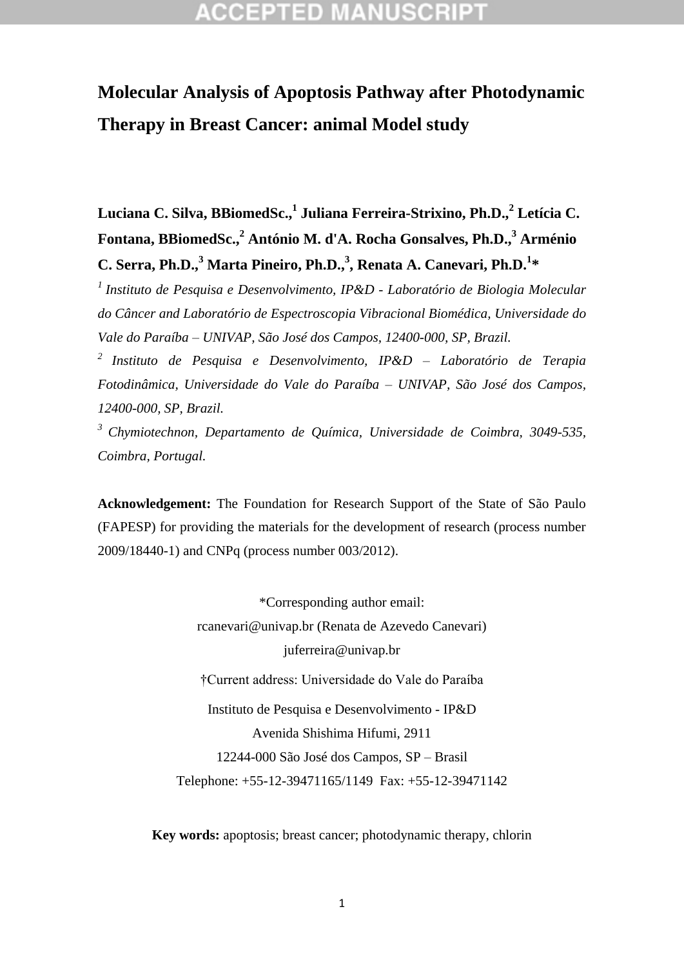# **Molecular Analysis of Apoptosis Pathway after Photodynamic Therapy in Breast Cancer: animal Model study**

**Luciana C. Silva, BBiomedSc., 1 Juliana Ferreira-Strixino, Ph.D., <sup>2</sup> Letícia C. Fontana, BBiomedSc., <sup>2</sup> António M. d'A. Rocha Gonsalves, Ph.D.,<sup>3</sup> Arménio C. Serra, Ph.D.,<sup>3</sup> Marta Pineiro, Ph.D.,<sup>3</sup> , Renata A. Canevari, Ph.D.<sup>1</sup> \***

*<sup>1</sup>Instituto de Pesquisa e Desenvolvimento, IP&D - Laboratório de Biologia Molecular do Câncer and Laboratório de Espectroscopia Vibracional Biomédica, Universidade do Vale do Paraíba – UNIVAP, São José dos Campos, 12400-000, SP, Brazil.*

*<sup>2</sup>Instituto de Pesquisa e Desenvolvimento, IP&D – Laboratório de Terapia Fotodinâmica, Universidade do Vale do Paraíba – UNIVAP, São José dos Campos, 12400-000, SP, Brazil.*

*<sup>3</sup> Chymiotechnon, Departamento de Química, Universidade de Coimbra, 3049-535, Coimbra, Portugal.*

**Acknowledgement:** The Foundation for Research Support of the State of São Paulo (FAPESP) for providing the materials for the development of research (process number 2009/18440-1) and CNPq (process number 003/2012).

> \*Corresponding author email: rcanevari@univap.br (Renata de Azevedo Canevari) juferreira@univap.br †Current address: Universidade do Vale do Paraíba Instituto de Pesquisa e Desenvolvimento - IP&D Avenida Shishima Hifumi, 2911 12244-000 São José dos Campos, SP – Brasil Telephone: +55-12-39471165/1149 Fax: +55-12-39471142

**Key words:** apoptosis; breast cancer; photodynamic therapy, chlorin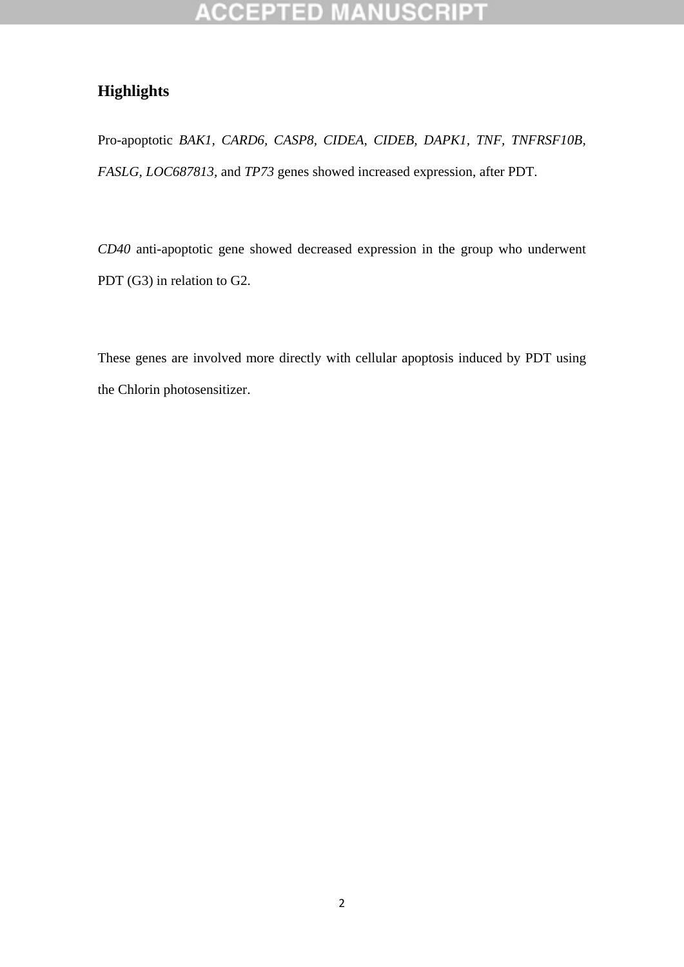### **Highlights**

Pro-apoptotic *BAK1*, CARD6, CASP8, CIDEA, CIDEB, DAPK1, TNF, TNFRSF10B, *FASLG, LOC687813,* and *TP73* genes showed increased expression, after PDT.

*CD40* anti-apoptotic gene showed decreased expression in the group who underwent PDT (G3) in relation to G2.

These genes are involved more directly with cellular apoptosis induced by PDT using the Chlorin photosensitizer.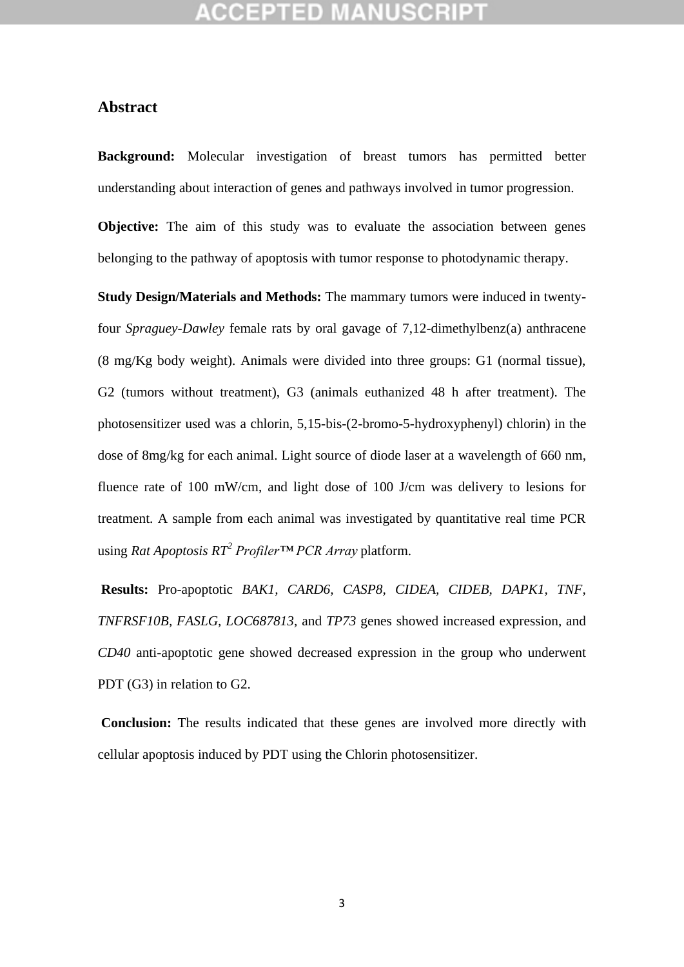## **CEPTED**

### **Abstract**

**Background:** Molecular investigation of breast tumors has permitted better understanding about interaction of genes and pathways involved in tumor progression.

**Objective:** The aim of this study was to evaluate the association between genes belonging to the pathway of apoptosis with tumor response to photodynamic therapy.

**Study Design/Materials and Methods:** The mammary tumors were induced in twentyfour *Spraguey-Dawley* female rats by oral gavage of 7,12-dimethylbenz(a) anthracene (8 mg/Kg body weight). Animals were divided into three groups: G1 (normal tissue), G2 (tumors without treatment), G3 (animals euthanized 48 h after treatment). The photosensitizer used was a chlorin, 5,15-bis-(2-bromo-5-hydroxyphenyl) chlorin) in the dose of 8mg/kg for each animal. Light source of diode laser at a wavelength of 660 nm, fluence rate of 100 mW/cm, and light dose of 100 J/cm was delivery to lesions for treatment. A sample from each animal was investigated by quantitative real time PCR using *Rat Apoptosis RT<sup>2</sup> Profiler™ PCR Array* platform.

**Results:** Pro-apoptotic *BAK1, CARD6, CASP8, CIDEA, CIDEB, DAPK1, TNF, TNFRSF10B, FASLG, LOC687813,* and *TP73* genes showed increased expression, and *CD40* anti-apoptotic gene showed decreased expression in the group who underwent PDT (G3) in relation to G2.

**Conclusion:** The results indicated that these genes are involved more directly with cellular apoptosis induced by PDT using the Chlorin photosensitizer.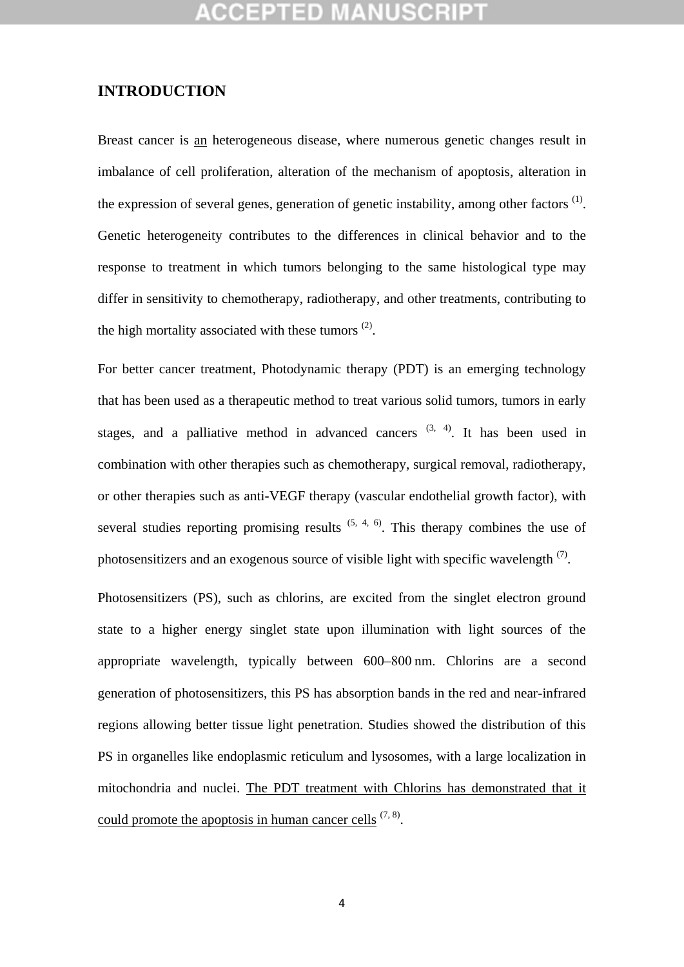### **INTRODUCTION**

Breast cancer is an heterogeneous disease, where numerous genetic changes result in imbalance of cell proliferation, alteration of the mechanism of apoptosis, alteration in the expression of several genes, generation of genetic instability, among other factors  $<sup>(1)</sup>$ .</sup> Genetic heterogeneity contributes to the differences in clinical behavior and to the response to treatment in which tumors belonging to the same histological type may differ in sensitivity to chemotherapy, radiotherapy, and other treatments, contributing to the high mortality associated with these tumors  $(2)$ .

For better cancer treatment, Photodynamic therapy (PDT) is an emerging technology that has been used as a therapeutic method to treat various solid tumors, tumors in early stages, and a palliative method in advanced cancers  $(3, 4)$ . It has been used in combination with other therapies such as chemotherapy, surgical removal, radiotherapy, or other therapies such as anti-VEGF therapy (vascular endothelial growth factor), with several studies reporting promising results  $(5, 4, 6)$ . This therapy combines the use of photosensitizers and an exogenous source of visible light with specific wavelength  $(7)$ .

Photosensitizers (PS), such as chlorins, are excited from the singlet electron ground state to a higher energy singlet state upon illumination with light sources of the appropriate wavelength, typically between 600–800 nm. Chlorins are a second generation of photosensitizers, this PS has absorption bands in the red and near-infrared regions allowing better tissue light penetration. Studies showed the distribution of this PS in organelles like endoplasmic reticulum and lysosomes, with a large localization in mitochondria and nuclei. The PDT treatment with Chlorins has demonstrated that it could promote the apoptosis in human cancer cells  $(7, 8)$ .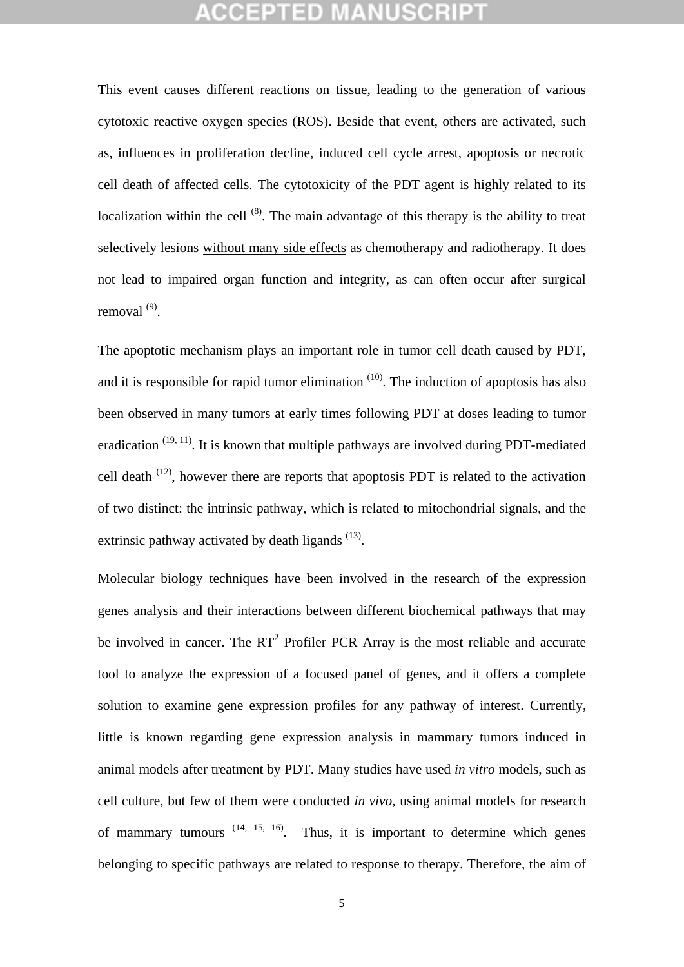This event causes different reactions on tissue, leading to the generation of various cytotoxic reactive oxygen species (ROS). Beside that event, others are activated, such as, influences in proliferation decline, induced cell cycle arrest, apoptosis or necrotic cell death of affected cells. The cytotoxicity of the PDT agent is highly related to its localization within the cell  $(8)$ . The main advantage of this therapy is the ability to treat selectively lesions without many side effects as chemotherapy and radiotherapy. It does not lead to impaired organ function and integrity, as can often occur after surgical removal<sup>(9)</sup>.

The apoptotic mechanism plays an important role in tumor cell death caused by PDT, and it is responsible for rapid tumor elimination  $(10)$ . The induction of apoptosis has also been observed in many tumors at early times following PDT at doses leading to tumor eradication  $(19, 11)$ . It is known that multiple pathways are involved during PDT-mediated cell death  $(12)$ , however there are reports that apoptosis PDT is related to the activation of two distinct: the intrinsic pathway, which is related to mitochondrial signals, and the extrinsic pathway activated by death ligands <sup>(13)</sup>.

Molecular biology techniques have been involved in the research of the expression genes analysis and their interactions between different biochemical pathways that may be involved in cancer. The  $RT^2$  Profiler PCR Array is the most reliable and accurate tool to analyze the expression of a focused panel of genes, and it offers a complete solution to examine gene expression profiles for any pathway of interest. Currently, little is known regarding gene expression analysis in mammary tumors induced in animal models after treatment by PDT. Many studies have used *in vitro* models, such as cell culture, but few of them were conducted *in vivo*, using animal models for research of mammary tumours  $(14, 15, 16)$ . Thus, it is important to determine which genes belonging to specific pathways are related to response to therapy. Therefore, the aim of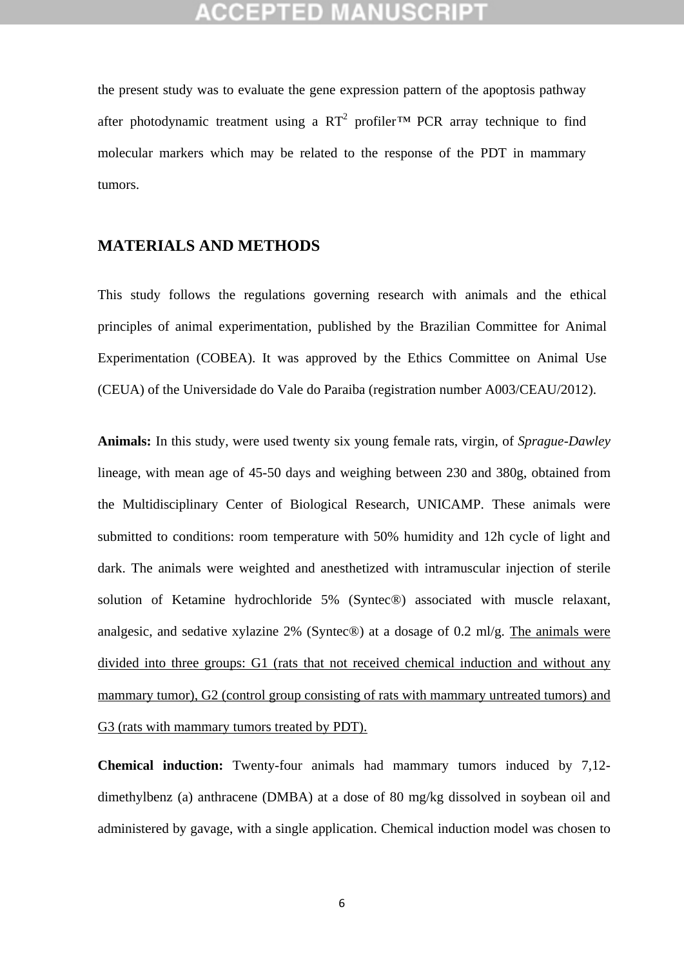## (CEPTED)

the present study was to evaluate the gene expression pattern of the apoptosis pathway after photodynamic treatment using a RT<sup>2</sup> profiler<sup>™</sup> PCR array technique to find molecular markers which may be related to the response of the PDT in mammary tumors.

### **MATERIALS AND METHODS**

This study follows the regulations governing research with animals and the ethical principles of animal experimentation, published by the Brazilian Committee for Animal Experimentation (COBEA). It was approved by the Ethics Committee on Animal Use (CEUA) of the Universidade do Vale do Paraiba (registration number A003/CEAU/2012).

**Animals:** In this study, were used twenty six young female rats, virgin, of *Sprague-Dawley* lineage, with mean age of 45-50 days and weighing between 230 and 380g, obtained from the Multidisciplinary Center of Biological Research, UNICAMP. These animals were submitted to conditions: room temperature with 50% humidity and 12h cycle of light and dark. The animals were weighted and anesthetized with intramuscular injection of sterile solution of Ketamine hydrochloride 5% (Syntec®) associated with muscle relaxant, analgesic, and sedative xylazine 2% (Syntec®) at a dosage of 0.2 ml/g. The animals were divided into three groups: G1 (rats that not received chemical induction and without any mammary tumor), G2 (control group consisting of rats with mammary untreated tumors) and G3 (rats with mammary tumors treated by PDT).

**Chemical induction:** Twenty-four animals had mammary tumors induced by 7,12 dimethylbenz (a) anthracene (DMBA) at a dose of 80 mg/kg dissolved in soybean oil and administered by gavage, with a single application. Chemical induction model was chosen to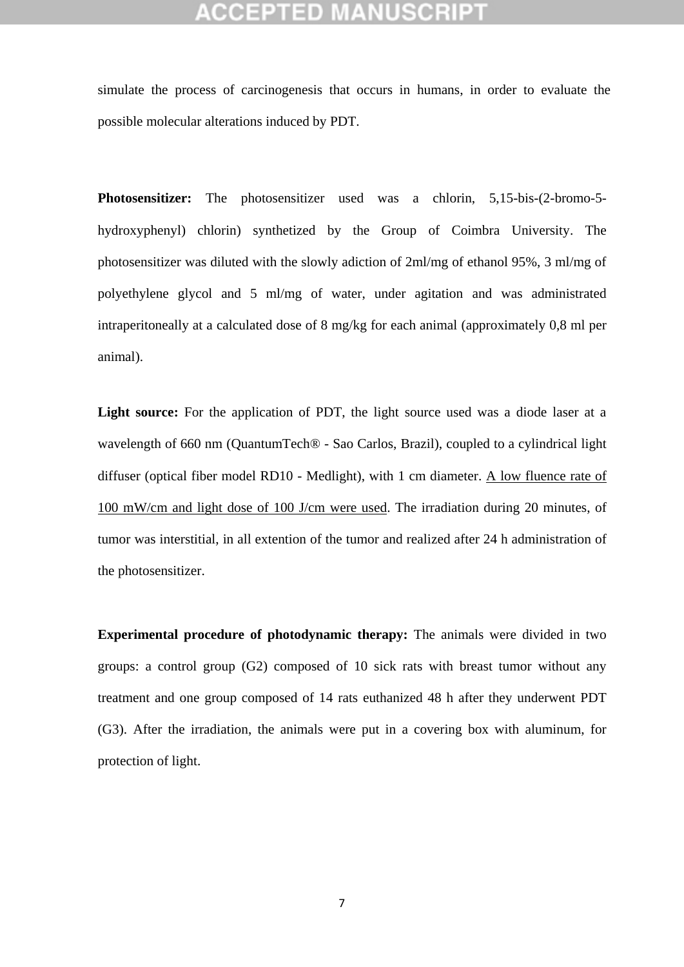simulate the process of carcinogenesis that occurs in humans, in order to evaluate the possible molecular alterations induced by PDT.

**Photosensitizer:** The photosensitizer used was a chlorin, 5,15-bis-(2-bromo-5 hydroxyphenyl) chlorin) synthetized by the Group of Coimbra University. The photosensitizer was diluted with the slowly adiction of 2ml/mg of ethanol 95%, 3 ml/mg of polyethylene glycol and 5 ml/mg of water, under agitation and was administrated intraperitoneally at a calculated dose of 8 mg/kg for each animal (approximately 0,8 ml per animal).

Light source: For the application of PDT, the light source used was a diode laser at a wavelength of 660 nm (QuantumTech® - Sao Carlos, Brazil), coupled to a cylindrical light diffuser (optical fiber model RD10 - Medlight), with 1 cm diameter. A low fluence rate of 100 mW/cm and light dose of 100 J/cm were used. The irradiation during 20 minutes, of tumor was interstitial, in all extention of the tumor and realized after 24 h administration of the photosensitizer.

**Experimental procedure of photodynamic therapy:** The animals were divided in two groups: a control group (G2) composed of 10 sick rats with breast tumor without any treatment and one group composed of 14 rats euthanized 48 h after they underwent PDT (G3). After the irradiation, the animals were put in a covering box with aluminum, for protection of light.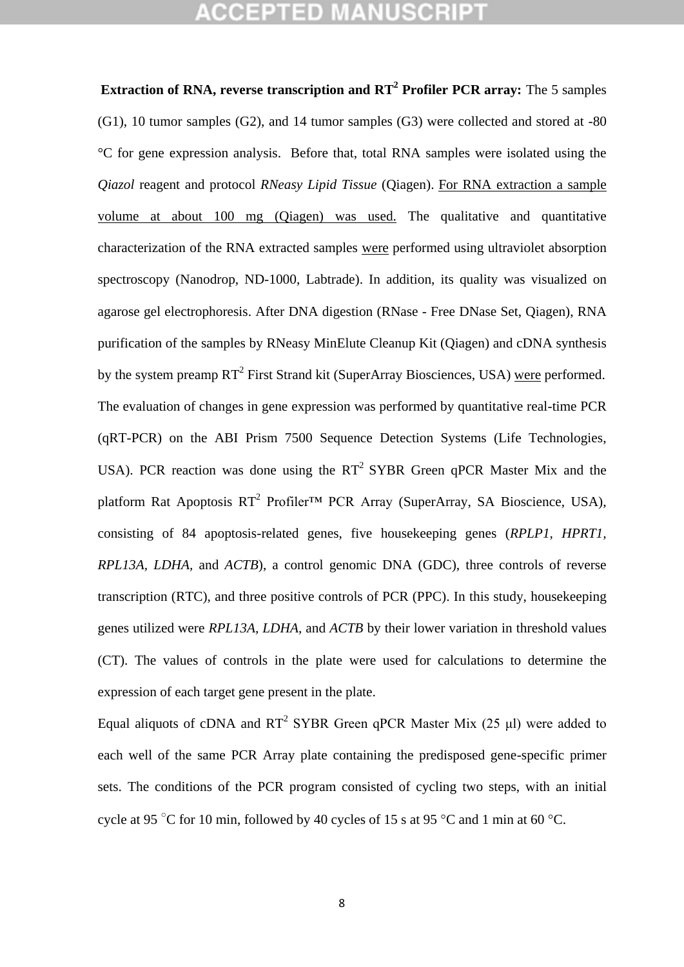**Extraction of RNA, reverse transcription and RT<sup>2</sup> Profiler PCR array:** The 5 samples (G1), 10 tumor samples (G2), and 14 tumor samples (G3) were collected and stored at -80 °C for gene expression analysis. Before that, total RNA samples were isolated using the *Qiazol* reagent and protocol *RNeasy Lipid Tissue* (Qiagen). For RNA extraction a sample volume at about 100 mg (Qiagen) was used. The qualitative and quantitative characterization of the RNA extracted samples were performed using ultraviolet absorption spectroscopy (Nanodrop, ND-1000, Labtrade). In addition, its quality was visualized on agarose gel electrophoresis. After DNA digestion (RNase - Free DNase Set, Qiagen), RNA purification of the samples by RNeasy MinElute Cleanup Kit (Qiagen) and cDNA synthesis by the system preamp RT<sup>2</sup> First Strand kit (SuperArray Biosciences, USA) were performed. The evaluation of changes in gene expression was performed by quantitative real-time PCR (qRT-PCR) on the ABI Prism 7500 Sequence Detection Systems (Life Technologies, USA). PCR reaction was done using the  $RT^2$  SYBR Green qPCR Master Mix and the platform Rat Apoptosis  $RT^2$  Profiler<sup>TM</sup> PCR Array (SuperArray, SA Bioscience, USA), consisting of 84 apoptosis-related genes, five housekeeping genes (*RPLP1, HPRT1, RPL13A, LDHA,* and *ACTB*), a control genomic DNA (GDC), three controls of reverse transcription (RTC), and three positive controls of PCR (PPC). In this study, housekeeping genes utilized were *RPL13A, LDHA,* and *ACTB* by their lower variation in threshold values (CT). The values of controls in the plate were used for calculations to determine the expression of each target gene present in the plate.

Equal aliquots of cDNA and  $RT^2$  SYBR Green qPCR Master Mix (25 µl) were added to each well of the same PCR Array plate containing the predisposed gene-specific primer sets. The conditions of the PCR program consisted of cycling two steps, with an initial cycle at 95 °C for 10 min, followed by 40 cycles of 15 s at 95 °C and 1 min at 60 °C.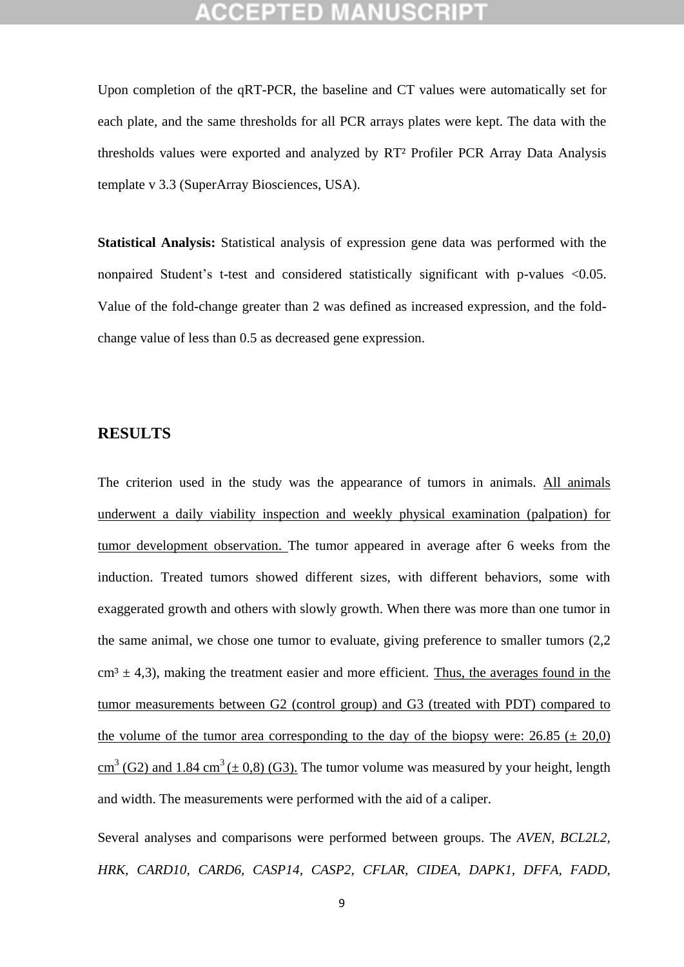## ICEPTED M

Upon completion of the qRT-PCR, the baseline and CT values were automatically set for each plate, and the same thresholds for all PCR arrays plates were kept. The data with the thresholds values were exported and analyzed by RT² Profiler PCR Array Data Analysis template v 3.3 (SuperArray Biosciences, USA).

**Statistical Analysis:** Statistical analysis of expression gene data was performed with the nonpaired Student's t-test and considered statistically significant with p-values <0.05. Value of the fold-change greater than 2 was defined as increased expression, and the foldchange value of less than 0.5 as decreased gene expression.

### **RESULTS**

The criterion used in the study was the appearance of tumors in animals. All animals underwent a daily viability inspection and weekly physical examination (palpation) for tumor development observation. The tumor appeared in average after 6 weeks from the induction. Treated tumors showed different sizes, with different behaviors, some with exaggerated growth and others with slowly growth. When there was more than one tumor in the same animal, we chose one tumor to evaluate, giving preference to smaller tumors (2,2  $cm<sup>3</sup> \pm 4.3$ ), making the treatment easier and more efficient. Thus, the averages found in the tumor measurements between G2 (control group) and G3 (treated with PDT) compared to the volume of the tumor area corresponding to the day of the biopsy were:  $26.85 \ (\pm 20.0)$  $\text{cm}^3$  (G2) and 1.84 cm<sup>3</sup> ( $\pm$  0,8) (G3). The tumor volume was measured by your height, length and width. The measurements were performed with the aid of a caliper.

Several analyses and comparisons were performed between groups. The *AVEN, BCL2L2, HRK, CARD10, CARD6, CASP14, CASP2, CFLAR, CIDEA, DAPK1, DFFA, FADD,*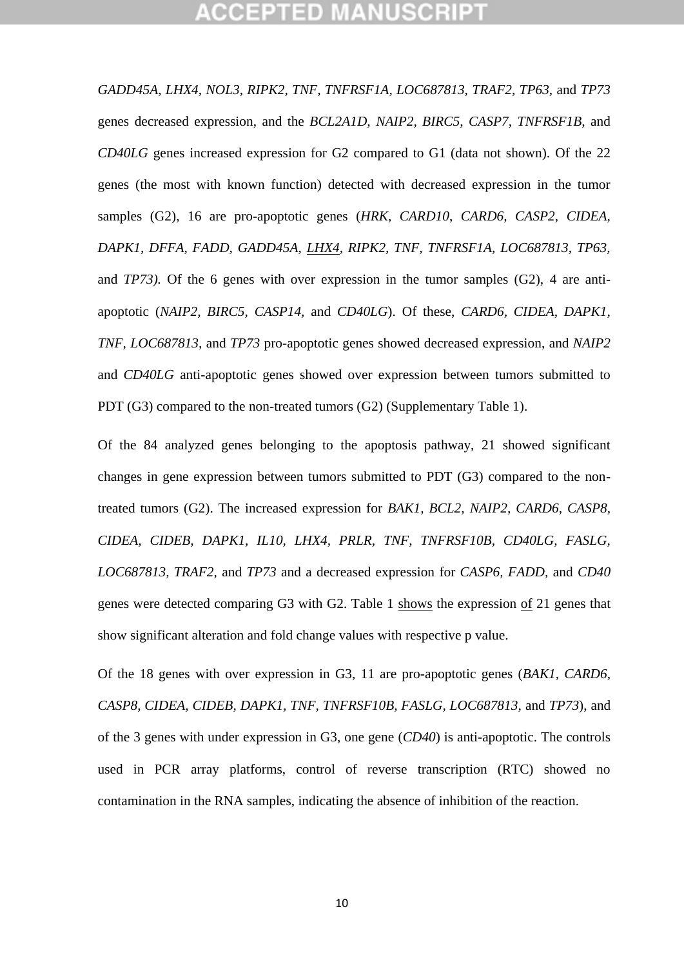*GADD45A, LHX4, NOL3, RIPK2, TNF, TNFRSF1A, LOC687813, TRAF2, TP63,* and *TP73*  genes decreased expression, and the *BCL2A1D, NAIP2, BIRC5, CASP7, TNFRSF1B,* and *CD40LG* genes increased expression for G2 compared to G1 (data not shown). Of the 22 genes (the most with known function) detected with decreased expression in the tumor samples (G2), 16 are pro-apoptotic genes (*HRK, CARD10*, *CARD6, CASP2, CIDEA, DAPK1, DFFA, FADD, GADD45A, LHX4, RIPK2, TNF, TNFRSF1A, LOC687813, TP63,*  and *TP73).* Of the 6 genes with over expression in the tumor samples (G2), 4 are antiapoptotic (*NAIP2, BIRC5, CASP14,* and *CD40LG*). Of these, *CARD6, CIDEA, DAPK1, TNF, LOC687813,* and *TP73* pro-apoptotic genes showed decreased expression, and *NAIP2*  and *CD40LG* anti-apoptotic genes showed over expression between tumors submitted to PDT (G3) compared to the non-treated tumors (G2) (Supplementary Table 1).

Of the 84 analyzed genes belonging to the apoptosis pathway, 21 showed significant changes in gene expression between tumors submitted to PDT (G3) compared to the nontreated tumors (G2). The increased expression for *BAK1, BCL2, NAIP2, CARD6, CASP8, CIDEA, CIDEB, DAPK1, IL10, LHX4, PRLR, TNF, TNFRSF10B, CD40LG, FASLG, LOC687813, TRAF2,* and *TP73* and a decreased expression for *CASP6, FADD,* and *CD40*  genes were detected comparing G3 with G2. Table 1 shows the expression of 21 genes that show significant alteration and fold change values with respective p value.

Of the 18 genes with over expression in G3, 11 are pro-apoptotic genes (*BAK1, CARD6, CASP8, CIDEA, CIDEB, DAPK1, TNF, TNFRSF10B, FASLG, LOC687813,* and *TP73*), and of the 3 genes with under expression in G3, one gene (*CD40*) is anti-apoptotic. The controls used in PCR array platforms, control of reverse transcription (RTC) showed no contamination in the RNA samples, indicating the absence of inhibition of the reaction.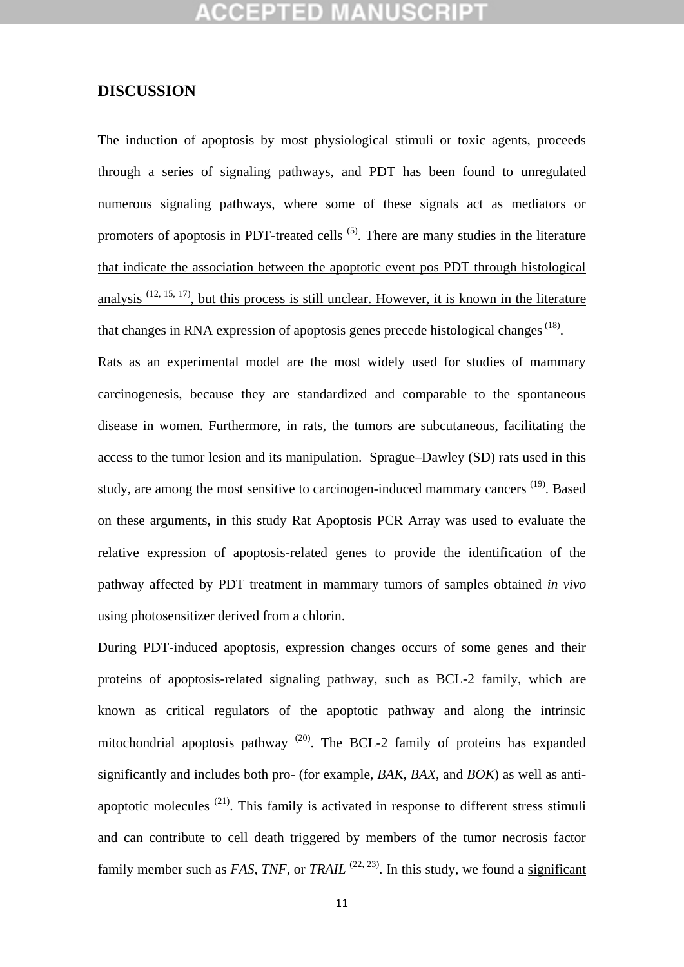## ∶CEPTED MAN

### **DISCUSSION**

The induction of apoptosis by most physiological stimuli or toxic agents, proceeds through a series of signaling pathways, and PDT has been found to unregulated numerous signaling pathways, where some of these signals act as mediators or promoters of apoptosis in PDT-treated cells <sup>(5)</sup>. There are many studies in the literature that indicate the association between the apoptotic event pos PDT through histological analysis  $(12, 15, 17)$ , but this process is still unclear. However, it is known in the literature that changes in RNA expression of apoptosis genes precede histological changes<sup> $(18)$ </sup>.

Rats as an experimental model are the most widely used for studies of mammary carcinogenesis, because they are standardized and comparable to the spontaneous disease in women. Furthermore, in rats, the tumors are subcutaneous, facilitating the access to the tumor lesion and its manipulation. Sprague–Dawley (SD) rats used in this study, are among the most sensitive to carcinogen-induced mammary cancers<sup>(19)</sup>. Based on these arguments, in this study Rat Apoptosis PCR Array was used to evaluate the relative expression of apoptosis-related genes to provide the identification of the pathway affected by PDT treatment in mammary tumors of samples obtained *in vivo* using photosensitizer derived from a chlorin.

During PDT**-**induced apoptosis, expression changes occurs of some genes and their proteins of apoptosis-related signaling pathway, such as BCL-2 family, which are known as critical regulators of the apoptotic pathway and along the intrinsic mitochondrial apoptosis pathway  $(20)$ . The BCL-2 family of proteins has expanded significantly and includes both pro- (for example, *BAK, BAX*, and *BOK*) as well as antiapoptotic molecules  $(21)$ . This family is activated in response to different stress stimuli and can contribute to cell death triggered by members of the tumor necrosis factor family member such as *FAS*, *TNF*, or *TRAIL* <sup>(22, 23)</sup>. In this study, we found a significant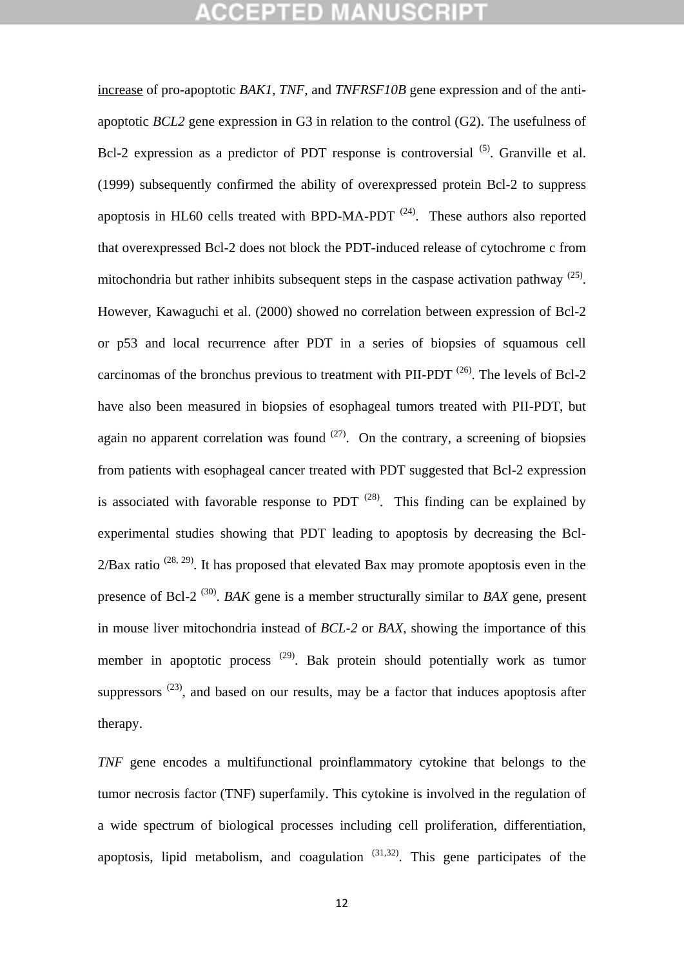increase of pro-apoptotic *BAK1*, *TNF,* and *TNFRSF10B* gene expression and of the antiapoptotic *BCL2* gene expression in G3 in relation to the control (G2). The usefulness of Bcl-2 expression as a predictor of PDT response is controversial  $(5)$ . Granville et al. (1999) subsequently confirmed the ability of overexpressed protein Bcl-2 to suppress apoptosis in HL60 cells treated with BPD-MA-PDT  $(24)$ . These authors also reported that overexpressed Bcl-2 does not block the PDT-induced release of cytochrome c from mitochondria but rather inhibits subsequent steps in the caspase activation pathway  $(25)$ . However, Kawaguchi et al. (2000) showed no correlation between expression of Bcl-2 or p53 and local recurrence after PDT in a series of biopsies of squamous cell carcinomas of the bronchus previous to treatment with PII-PDT  $(26)$ . The levels of Bcl-2 have also been measured in biopsies of esophageal tumors treated with PII-PDT, but again no apparent correlation was found  $(27)$ . On the contrary, a screening of biopsies from patients with esophageal cancer treated with PDT suggested that Bcl-2 expression is associated with favorable response to PDT  $(28)$ . This finding can be explained by experimental studies showing that PDT leading to apoptosis by decreasing the Bcl- $2/Bax$  ratio  $(28, 29)$ . It has proposed that elevated Bax may promote apoptosis even in the presence of Bcl-2<sup>(30)</sup>. *BAK* gene is a member structurally similar to *BAX* gene, present in mouse liver mitochondria instead of *BCL-2* or *BAX*, showing the importance of this member in apoptotic process  $(29)$ . Bak protein should potentially work as tumor suppressors  $(23)$ , and based on our results, may be a factor that induces apoptosis after therapy.

*TNF* gene encodes a multifunctional proinflammatory cytokine that belongs to the tumor necrosis factor (TNF) superfamily. This cytokine is involved in the regulation of a wide spectrum of biological processes including cell proliferation, differentiation, apoptosis, lipid metabolism, and coagulation  $(31,32)$ . This gene participates of the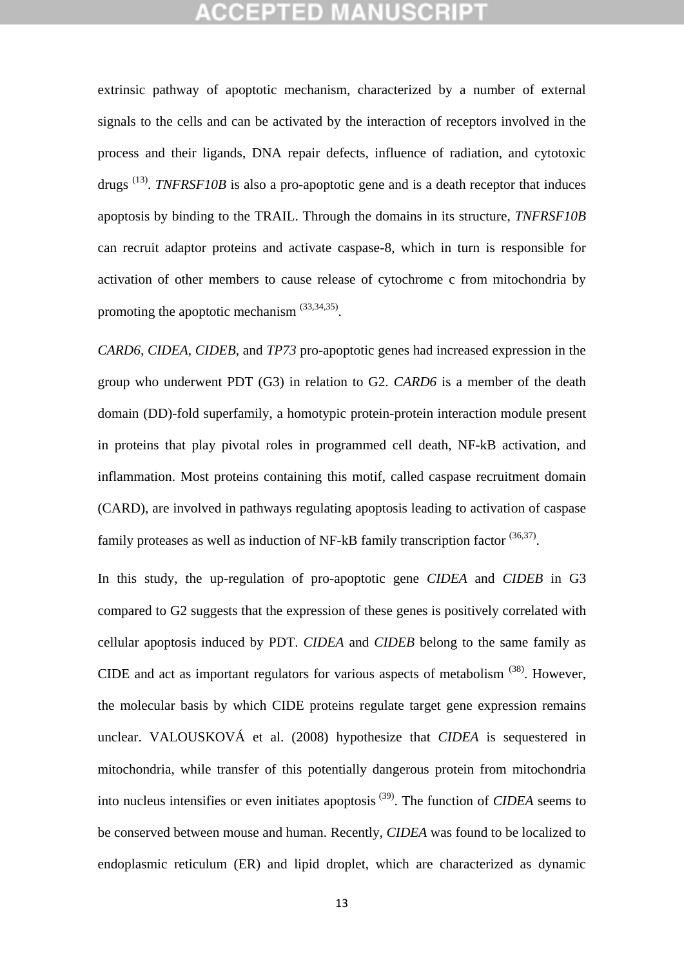extrinsic pathway of apoptotic mechanism, characterized by a number of external signals to the cells and can be activated by the interaction of receptors involved in the process and their ligands, DNA repair defects, influence of radiation, and cytotoxic drugs<sup>(13)</sup>. *TNFRSF10B* is also a pro-apoptotic gene and is a death receptor that induces apoptosis by binding to the TRAIL. Through the domains in its structure, *TNFRSF10B*  can recruit adaptor proteins and activate caspase-8, which in turn is responsible for activation of other members to cause release of cytochrome c from mitochondria by promoting the apoptotic mechanism  $(33,34,35)$ .

*CARD6, CIDEA, CIDEB,* and *TP73* pro-apoptotic genes had increased expression in the group who underwent PDT (G3) in relation to G2. *CARD6* is a member of the death domain (DD)-fold superfamily, a homotypic protein-protein interaction module present in proteins that play pivotal roles in programmed cell death, NF-kB activation, and inflammation. Most proteins containing this motif, called caspase recruitment domain (CARD), are involved in pathways regulating apoptosis leading to activation of caspase family proteases as well as induction of NF-kB family transcription factor  $(36,37)$ .

In this study, the up-regulation of pro-apoptotic gene *CIDEA* and *CIDEB* in G3 compared to G2 suggests that the expression of these genes is positively correlated with cellular apoptosis induced by PDT. *CIDEA* and *CIDEB* belong to the same family as CIDE and act as important regulators for various aspects of metabolism  $(38)$ . However, the molecular basis by which CIDE proteins regulate target gene expression remains unclear. VALOUSKOVÁ et al. (2008) hypothesize that *CIDEA* is sequestered in mitochondria, while transfer of this potentially dangerous protein from mitochondria into nucleus intensifies or even initiates apoptosis (39) . The function of *CIDEA* seems to be conserved between mouse and human. Recently, *CIDEA* was found to be localized to endoplasmic reticulum (ER) and lipid droplet, which are characterized as dynamic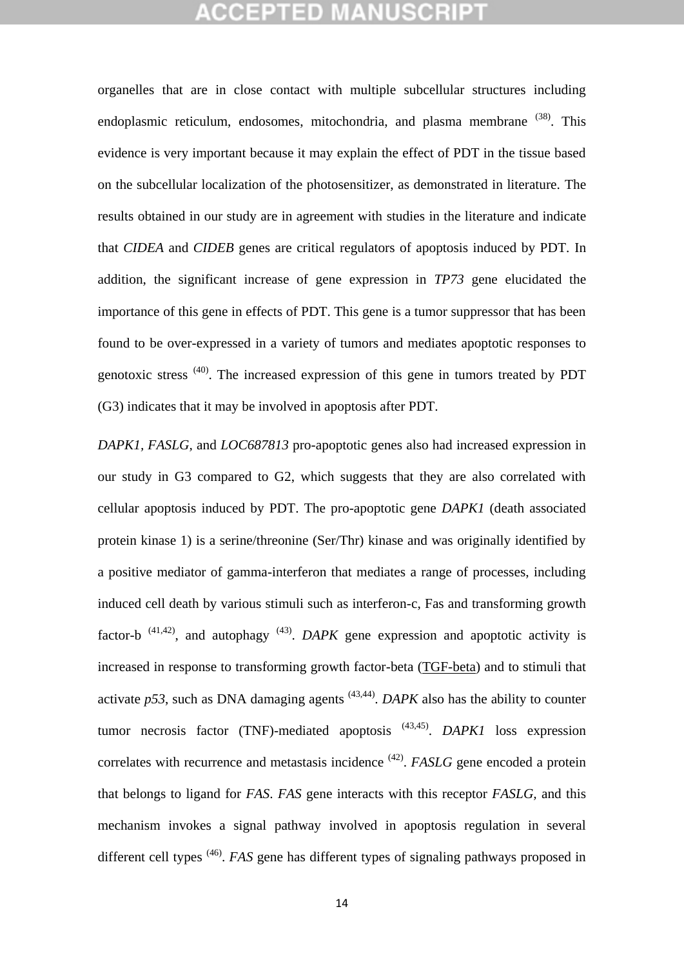organelles that are in close contact with multiple subcellular structures including endoplasmic reticulum, endosomes, mitochondria, and plasma membrane <sup>(38)</sup>. This evidence is very important because it may explain the effect of PDT in the tissue based on the subcellular localization of the photosensitizer, as demonstrated in literature. The results obtained in our study are in agreement with studies in the literature and indicate that *CIDEA* and *CIDEB* genes are critical regulators of apoptosis induced by PDT. In addition, the significant increase of gene expression in *TP73* gene elucidated the importance of this gene in effects of PDT. This gene is a tumor suppressor that has been found to be over-expressed in a variety of tumors and mediates apoptotic responses to genotoxic stress  $(40)$ . The increased expression of this gene in tumors treated by PDT (G3) indicates that it may be involved in apoptosis after PDT.

*DAPK1, FASLG,* and *LOC687813* pro-apoptotic genes also had increased expression in our study in G3 compared to G2, which suggests that they are also correlated with cellular apoptosis induced by PDT. The pro-apoptotic gene *DAPK1* (death associated protein kinase 1) is a serine/threonine (Ser/Thr) kinase and was originally identified by a positive mediator of gamma-interferon that mediates a range of processes, including induced cell death by various stimuli such as interferon-c, Fas and transforming growth factor-b  $(41,42)$ , and autophagy  $(43)$ . *DAPK* gene expression and apoptotic activity is increased in response to transforming growth factor-beta (TGF-beta) and to stimuli that activate  $p53$ , such as DNA damaging agents  $(43,44)$ . *DAPK* also has the ability to counter tumor necrosis factor (TNF)-mediated apoptosis (43,45) . *DAPK1* loss expression correlates with recurrence and metastasis incidence <sup>(42)</sup>. *FASLG* gene encoded a protein that belongs to ligand for *FAS*. *FAS* gene interacts with this receptor *FASLG,* and this mechanism invokes a signal pathway involved in apoptosis regulation in several different cell types<sup>(46)</sup>. *FAS* gene has different types of signaling pathways proposed in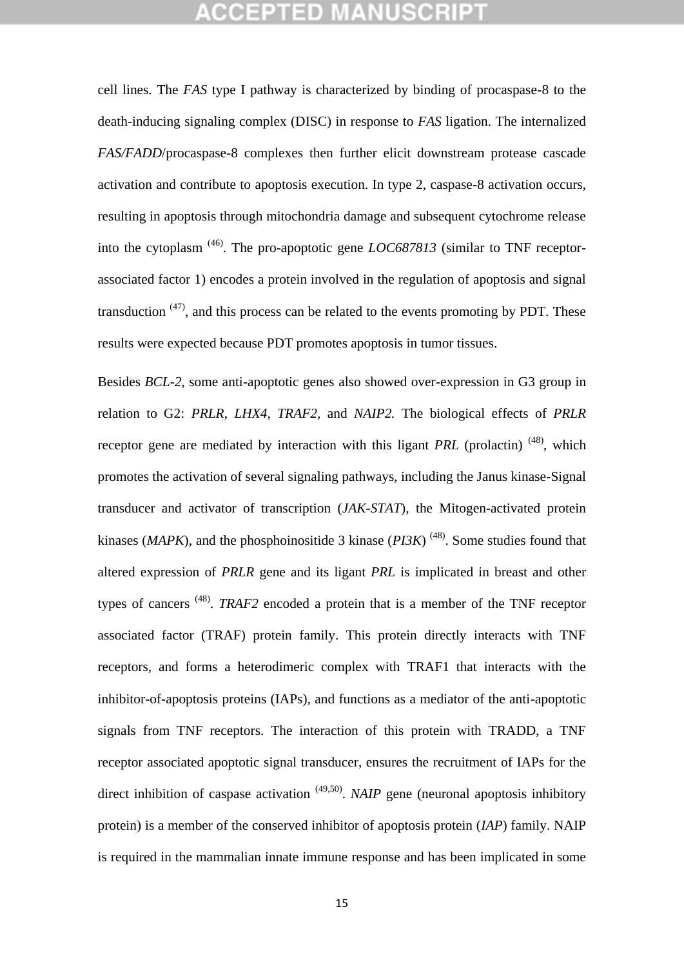cell lines. The *FAS* type I pathway is characterized by binding of procaspase-8 to the death-inducing signaling complex (DISC) in response to *FAS* ligation. The internalized *FAS/FADD*/procaspase-8 complexes then further elicit downstream protease cascade activation and contribute to apoptosis execution. In type 2, caspase-8 activation occurs, resulting in apoptosis through mitochondria damage and subsequent cytochrome release into the cytoplasm (46) . The pro-apoptotic gene *LOC687813* (similar to TNF receptorassociated factor 1) encodes a protein involved in the regulation of apoptosis and signal transduction  $(47)$ , and this process can be related to the events promoting by PDT. These results were expected because PDT promotes apoptosis in tumor tissues.

Besides *BCL-2*, some anti-apoptotic genes also showed over-expression in G3 group in relation to G2: *PRLR*, *LHX4, TRAF2,* and *NAIP2.* The biological effects of *PRLR*  receptor gene are mediated by interaction with this ligant *PRL* (prolactin) <sup>(48)</sup>, which promotes the activation of several signaling pathways, including the Janus kinase-Signal transducer and activator of transcription (*JAK-STAT*), the Mitogen-activated protein kinases ( $MAPK$ ), and the phosphoinositide 3 kinase ( $PI3K$ )<sup>(48)</sup>. Some studies found that altered expression of *PRLR* gene and its ligant *PRL* is implicated in breast and other types of cancers<sup>(48)</sup>. *TRAF2* encoded a protein that is a member of the TNF receptor associated factor (TRAF) protein family. This protein directly interacts with TNF receptors, and forms a heterodimeric complex with TRAF1 that interacts with the inhibitor-of-apoptosis proteins (IAPs), and functions as a mediator of the anti-apoptotic signals from TNF receptors. The interaction of this protein with TRADD, a TNF receptor associated apoptotic signal transducer, ensures the recruitment of IAPs for the direct inhibition of caspase activation  $(49,50)$ . *NAIP* gene (neuronal apoptosis inhibitory protein) is a member of the conserved inhibitor of apoptosis protein (*IAP*) family. NAIP is required in the mammalian innate immune response and has been implicated in some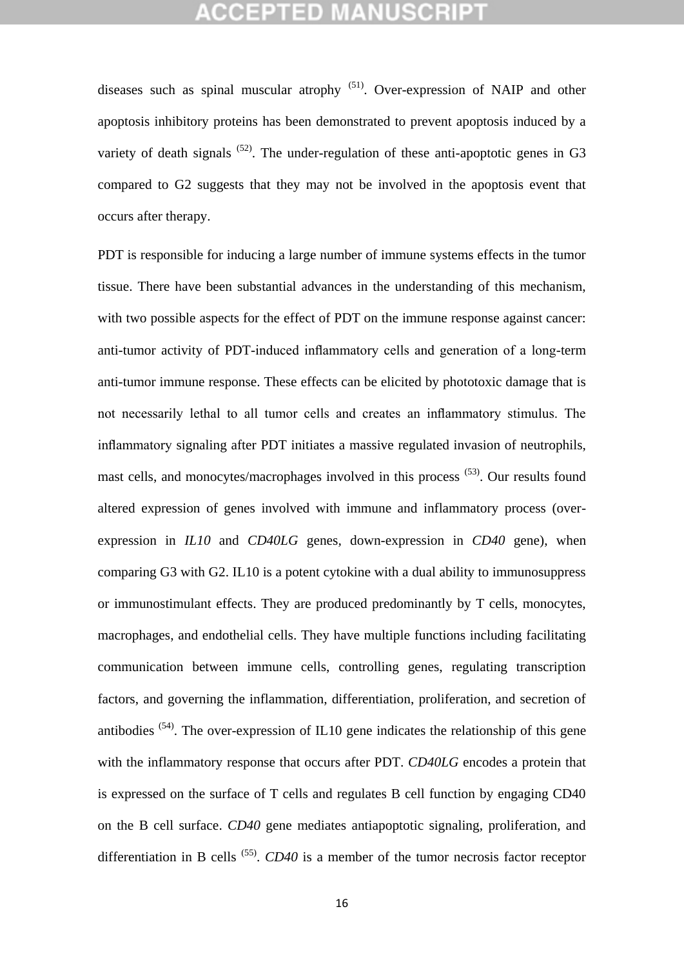diseases such as spinal muscular atrophy  $(51)$ . Over-expression of NAIP and other apoptosis inhibitory proteins has been demonstrated to prevent apoptosis induced by a variety of death signals  $(52)$ . The under-regulation of these anti-apoptotic genes in G3 compared to G2 suggests that they may not be involved in the apoptosis event that occurs after therapy.

PDT is responsible for inducing a large number of immune systems effects in the tumor tissue. There have been substantial advances in the understanding of this mechanism, with two possible aspects for the effect of PDT on the immune response against cancer: anti-tumor activity of PDT-induced inflammatory cells and generation of a long-term anti-tumor immune response. These effects can be elicited by phototoxic damage that is not necessarily lethal to all tumor cells and creates an inflammatory stimulus. The inflammatory signaling after PDT initiates a massive regulated invasion of neutrophils, mast cells, and monocytes/macrophages involved in this process <sup>(53)</sup>. Our results found altered expression of genes involved with immune and inflammatory process (overexpression in *IL10* and *CD40LG* genes*,* down-expression in *CD40* gene), when comparing G3 with G2. IL10 is a potent cytokine with a dual ability to immunosuppress or immunostimulant effects. They are produced predominantly by T cells, monocytes, macrophages, and endothelial cells. They have multiple functions including facilitating communication between immune cells, controlling genes, regulating transcription factors, and governing the inflammation, differentiation, proliferation, and secretion of antibodies  $(54)$ . The over-expression of IL10 gene indicates the relationship of this gene with the inflammatory response that occurs after PDT. *CD40LG* encodes a protein that is expressed on the surface of T cells and regulates B cell function by engaging CD40 on the B cell surface. *CD40* gene mediates antiapoptotic signaling, proliferation, and differentiation in B cells  $(55)$ . *CD40* is a member of the tumor necrosis factor receptor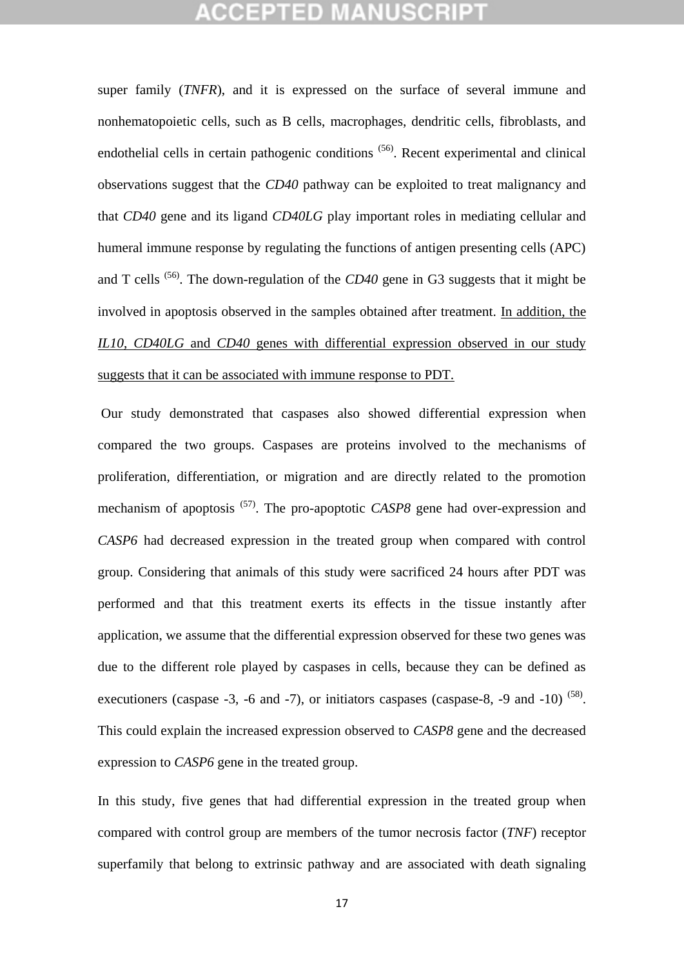## GEPTED

super family (*TNFR*), and it is expressed on the surface of several immune and nonhematopoietic cells, such as B cells, macrophages, dendritic cells, fibroblasts, and endothelial cells in certain pathogenic conditions <sup>(56)</sup>. Recent experimental and clinical observations suggest that the *CD40* pathway can be exploited to treat malignancy and that *CD40* gene and its ligand *CD40LG* play important roles in mediating cellular and humeral immune response by regulating the functions of antigen presenting cells (APC) and T cells  $(56)$ . The down-regulation of the *CD40* gene in G3 suggests that it might be involved in apoptosis observed in the samples obtained after treatment. In addition, the *IL10*, *CD40LG* and *CD40* genes with differential expression observed in our study suggests that it can be associated with immune response to PDT.

Our study demonstrated that caspases also showed differential expression when compared the two groups. Caspases are proteins involved to the mechanisms of proliferation, differentiation, or migration and are directly related to the promotion mechanism of apoptosis <sup>(57)</sup>. The pro-apoptotic *CASP8* gene had over-expression and *CASP6* had decreased expression in the treated group when compared with control group. Considering that animals of this study were sacrificed 24 hours after PDT was performed and that this treatment exerts its effects in the tissue instantly after application, we assume that the differential expression observed for these two genes was due to the different role played by caspases in cells, because they can be defined as executioners (caspase  $-3$ ,  $-6$  and  $-7$ ), or initiators caspases (caspase-8,  $-9$  and  $-10$ )  $(58)$ . This could explain the increased expression observed to *CASP8* gene and the decreased expression to *CASP6* gene in the treated group.

In this study, five genes that had differential expression in the treated group when compared with control group are members of the tumor necrosis factor (*TNF*) receptor superfamily that belong to extrinsic pathway and are associated with death signaling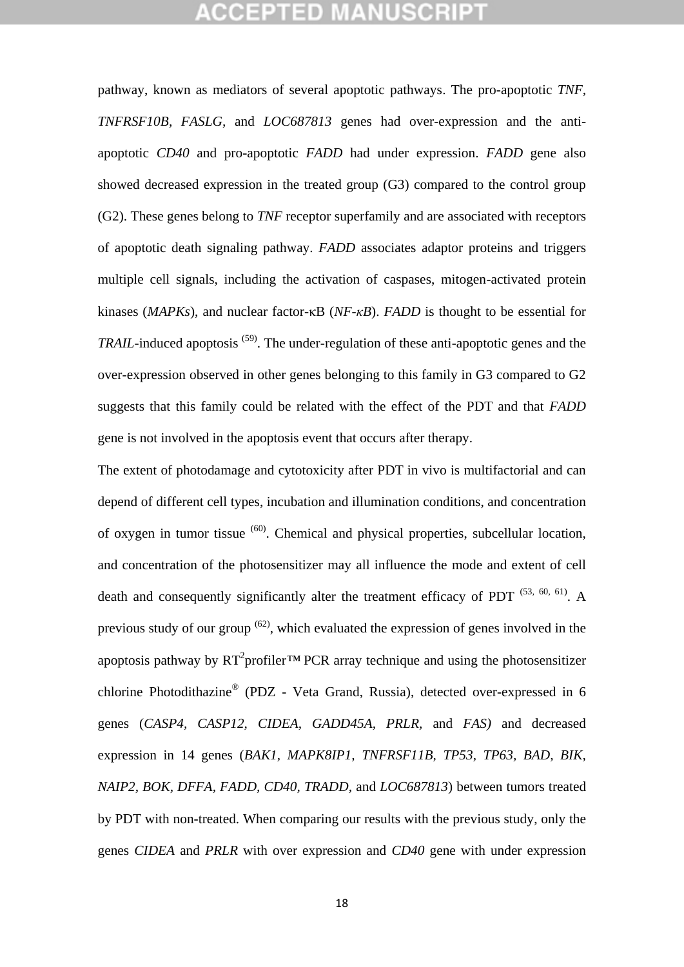pathway, known as mediators of several apoptotic pathways. The pro-apoptotic *TNF, TNFRSF10B, FASLG,* and *LOC687813* genes had over-expression and the antiapoptotic *CD40* and pro-apoptotic *FADD* had under expression. *FADD* gene also showed decreased expression in the treated group (G3) compared to the control group (G2). These genes belong to *TNF* receptor superfamily and are associated with receptors of apoptotic death signaling pathway. *FADD* associates adaptor proteins and triggers multiple cell signals, including the activation of caspases, mitogen-activated protein kinases (*MAPKs*), and nuclear factor-κB (*NF-κB*). *FADD* is thought to be essential for *TRAIL*-induced apoptosis <sup>(59)</sup>. The under-regulation of these anti-apoptotic genes and the over-expression observed in other genes belonging to this family in G3 compared to G2 suggests that this family could be related with the effect of the PDT and that *FADD* gene is not involved in the apoptosis event that occurs after therapy.

The extent of photodamage and cytotoxicity after PDT in vivo is multifactorial and can depend of different cell types, incubation and illumination conditions, and concentration of oxygen in tumor tissue <sup>(60)</sup>. Chemical and physical properties, subcellular location, and concentration of the photosensitizer may all influence the mode and extent of cell death and consequently significantly alter the treatment efficacy of PDT  $(53, 60, 61)$ . A previous study of our group  $(62)$ , which evaluated the expression of genes involved in the apoptosis pathway by RT<sup>2</sup>profiler<sup>™</sup> PCR array technique and using the photosensitizer chlorine Photodithazine® (PDZ - Veta Grand, Russia), detected over-expressed in 6 genes (*CASP4, CASP12, CIDEA, GADD45A, PRLR,* and *FAS)* and decreased expression in 14 genes (*BAK1, MAPK8IP1, TNFRSF11B, TP53, TP63, BAD, BIK, NAIP2, BOK, DFFA, FADD, CD40, TRADD,* and *LOC687813*) between tumors treated by PDT with non-treated. When comparing our results with the previous study, only the genes *CIDEA* and *PRLR* with over expression and *CD40* gene with under expression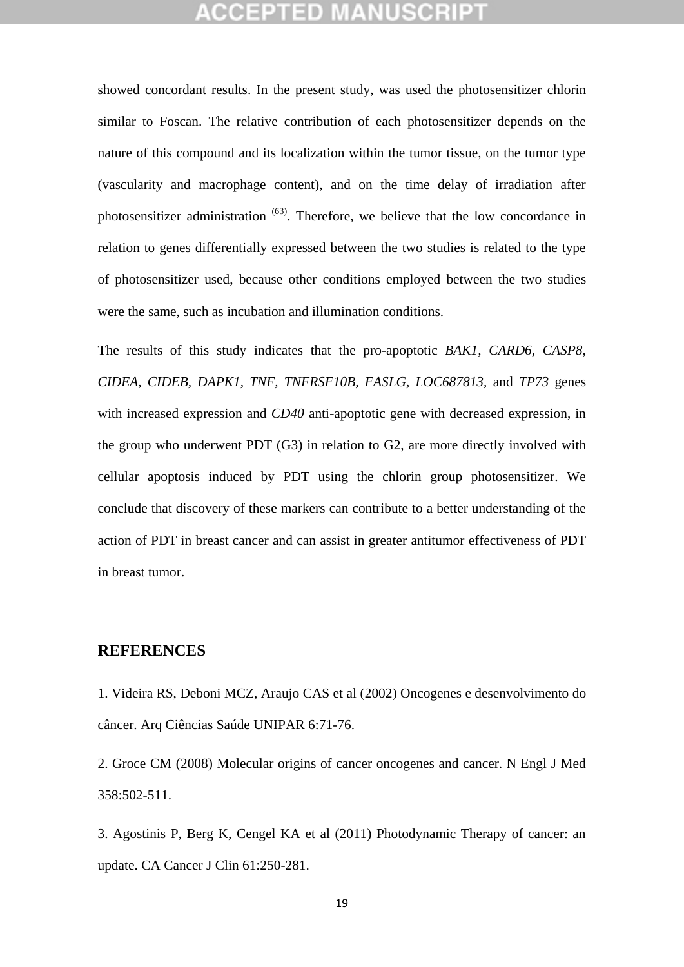showed concordant results. In the present study, was used the photosensitizer chlorin similar to Foscan. The relative contribution of each photosensitizer depends on the nature of this compound and its localization within the tumor tissue, on the tumor type (vascularity and macrophage content), and on the time delay of irradiation after photosensitizer administration <sup>(63)</sup>. Therefore, we believe that the low concordance in relation to genes differentially expressed between the two studies is related to the type of photosensitizer used, because other conditions employed between the two studies were the same, such as incubation and illumination conditions.

The results of this study indicates that the pro-apoptotic *BAK1, CARD6, CASP8, CIDEA, CIDEB, DAPK1, TNF, TNFRSF10B, FASLG, LOC687813,* and *TP73* genes with increased expression and *CD40* anti-apoptotic gene with decreased expression, in the group who underwent PDT (G3) in relation to G2, are more directly involved with cellular apoptosis induced by PDT using the chlorin group photosensitizer. We conclude that discovery of these markers can contribute to a better understanding of the action of PDT in breast cancer and can assist in greater antitumor effectiveness of PDT in breast tumor.

### **REFERENCES**

1. Videira RS, Deboni MCZ, Araujo CAS et al (2002) Oncogenes e desenvolvimento do câncer. Arq Ciências Saúde UNIPAR 6:71-76.

2. Groce CM (2008) Molecular origins of cancer oncogenes and cancer. N Engl J Med 358:502-511.

3. Agostinis P, Berg K, Cengel KA et al (2011) Photodynamic Therapy of cancer: an update. CA Cancer J Clin 61:250-281.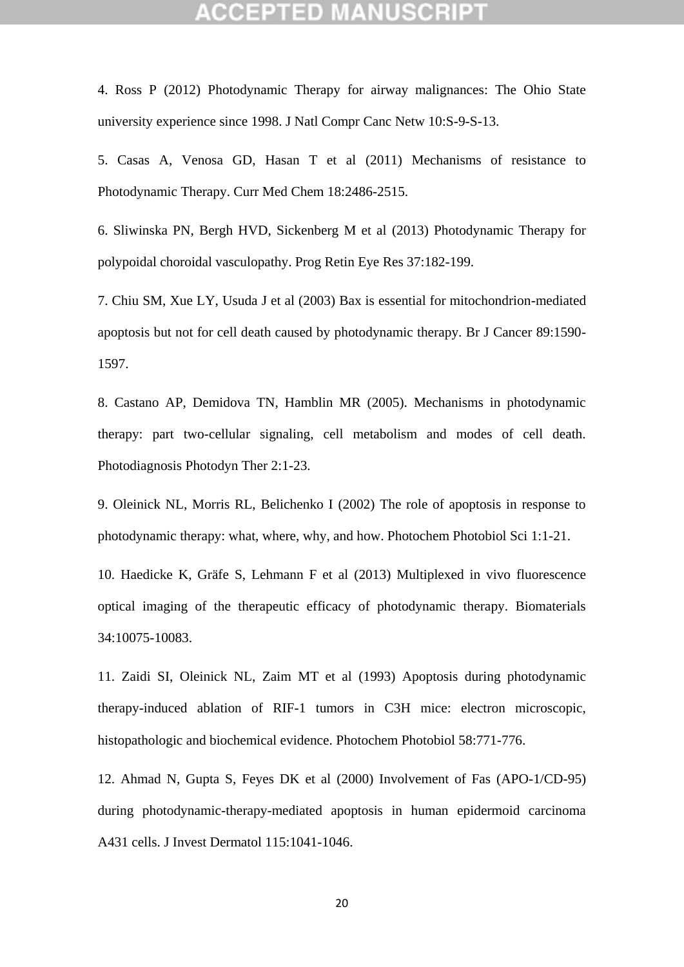## CCEPTED

4. Ross P (2012) Photodynamic Therapy for airway malignances: The Ohio State university experience since 1998. J Natl Compr Canc Netw 10:S-9-S-13.

5. Casas A, Venosa GD, Hasan T et al (2011) Mechanisms of resistance to Photodynamic Therapy. Curr Med Chem 18:2486-2515.

6. Sliwinska PN, Bergh HVD, Sickenberg M et al (2013) Photodynamic Therapy for polypoidal choroidal vasculopathy. Prog Retin Eye Res 37:182-199.

7. Chiu SM, Xue LY, Usuda J et al (2003) Bax is essential for mitochondrion-mediated apoptosis but not for cell death caused by photodynamic therapy. Br J Cancer 89:1590- 1597.

8. Castano AP, Demidova TN, Hamblin MR (2005). Mechanisms in photodynamic therapy: part two-cellular signaling, cell metabolism and modes of cell death. Photodiagnosis Photodyn Ther 2:1-23.

9. Oleinick NL, Morris RL, Belichenko I (2002) The role of apoptosis in response to photodynamic therapy: what, where, why, and how. Photochem Photobiol Sci 1:1-21.

10. Haedicke K, Gräfe S, Lehmann F et al (2013) Multiplexed in vivo fluorescence optical imaging of the therapeutic efficacy of photodynamic therapy. Biomaterials 34:10075-10083.

11. Zaidi SI, Oleinick NL, Zaim MT et al (1993) Apoptosis during photodynamic therapy-induced ablation of RIF-1 tumors in C3H mice: electron microscopic, histopathologic and biochemical evidence. Photochem Photobiol 58:771-776.

12. Ahmad N, Gupta S, Feyes DK et al (2000) Involvement of Fas (APO-1/CD-95) during photodynamic-therapy-mediated apoptosis in human epidermoid carcinoma A431 cells. J Invest Dermatol 115:1041-1046.

20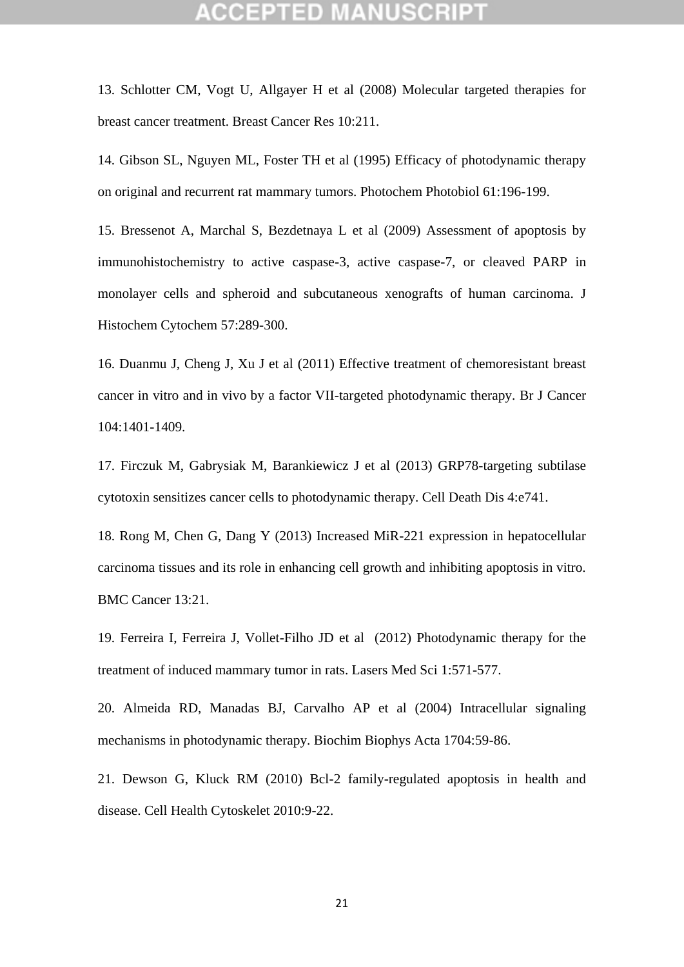13. Schlotter CM, Vogt U, Allgayer H et al (2008) Molecular targeted therapies for breast cancer treatment. Breast Cancer Res 10:211.

14. Gibson SL, Nguyen ML, Foster TH et al (1995) Efficacy of photodynamic therapy on original and recurrent rat mammary tumors. Photochem Photobiol 61:196-199.

15. Bressenot A, Marchal S, Bezdetnaya L et al (2009) Assessment of apoptosis by immunohistochemistry to active caspase-3, active caspase-7, or cleaved PARP in monolayer cells and spheroid and subcutaneous xenografts of human carcinoma. J Histochem Cytochem 57:289-300.

16. Duanmu J, Cheng J, Xu J et al (2011) Effective treatment of chemoresistant breast cancer in vitro and in vivo by a factor VII-targeted photodynamic therapy. Br J Cancer 104:1401-1409.

17. Firczuk M, Gabrysiak M, Barankiewicz J et al (2013) GRP78-targeting subtilase cytotoxin sensitizes cancer cells to photodynamic therapy. Cell Death Dis 4:e741.

18. Rong M, Chen G, Dang Y (2013) Increased MiR-221 expression in hepatocellular carcinoma tissues and its role in enhancing cell growth and inhibiting apoptosis in vitro. BMC Cancer 13:21.

19. Ferreira I, Ferreira J, Vollet-Filho JD et al (2012) Photodynamic therapy for the treatment of induced mammary tumor in rats. Lasers Med Sci 1:571-577.

20. Almeida RD, Manadas BJ, Carvalho AP et al (2004) Intracellular signaling mechanisms in photodynamic therapy. Biochim Biophys Acta 1704:59-86.

21. Dewson G, Kluck RM (2010) Bcl-2 family-regulated apoptosis in health and disease. Cell Health Cytoskelet 2010:9-22.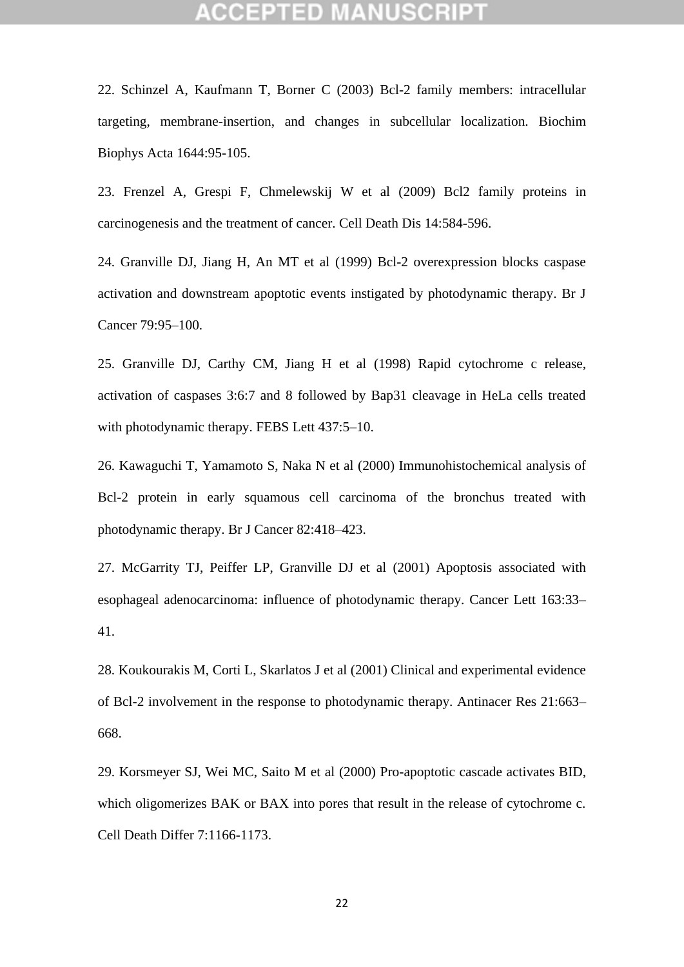22. Schinzel A, Kaufmann T, Borner C (2003) Bcl-2 family members: intracellular targeting, membrane-insertion, and changes in subcellular localization. Biochim Biophys Acta 1644:95-105.

23. Frenzel A, Grespi F, Chmelewskij W et al (2009) Bcl2 family proteins in carcinogenesis and the treatment of cancer. Cell Death Dis 14:584-596.

24. Granville DJ, Jiang H, An MT et al (1999) Bcl-2 overexpression blocks caspase activation and downstream apoptotic events instigated by photodynamic therapy. Br J Cancer 79:95–100.

25. Granville DJ, Carthy CM, Jiang H et al (1998) Rapid cytochrome c release, activation of caspases 3:6:7 and 8 followed by Bap31 cleavage in HeLa cells treated with photodynamic therapy. FEBS Lett 437:5–10.

26. Kawaguchi T, Yamamoto S, Naka N et al (2000) Immunohistochemical analysis of Bcl-2 protein in early squamous cell carcinoma of the bronchus treated with photodynamic therapy. Br J Cancer 82:418–423.

27. McGarrity TJ, Peiffer LP, Granville DJ et al (2001) Apoptosis associated with esophageal adenocarcinoma: influence of photodynamic therapy. Cancer Lett 163:33– 41.

28. Koukourakis M, Corti L, Skarlatos J et al (2001) Clinical and experimental evidence of Bcl-2 involvement in the response to photodynamic therapy. Antinacer Res 21:663– 668.

29. Korsmeyer SJ, Wei MC, Saito M et al (2000) Pro-apoptotic cascade activates BID, which oligomerizes BAK or BAX into pores that result in the release of cytochrome c. Cell Death Differ 7:1166-1173.

22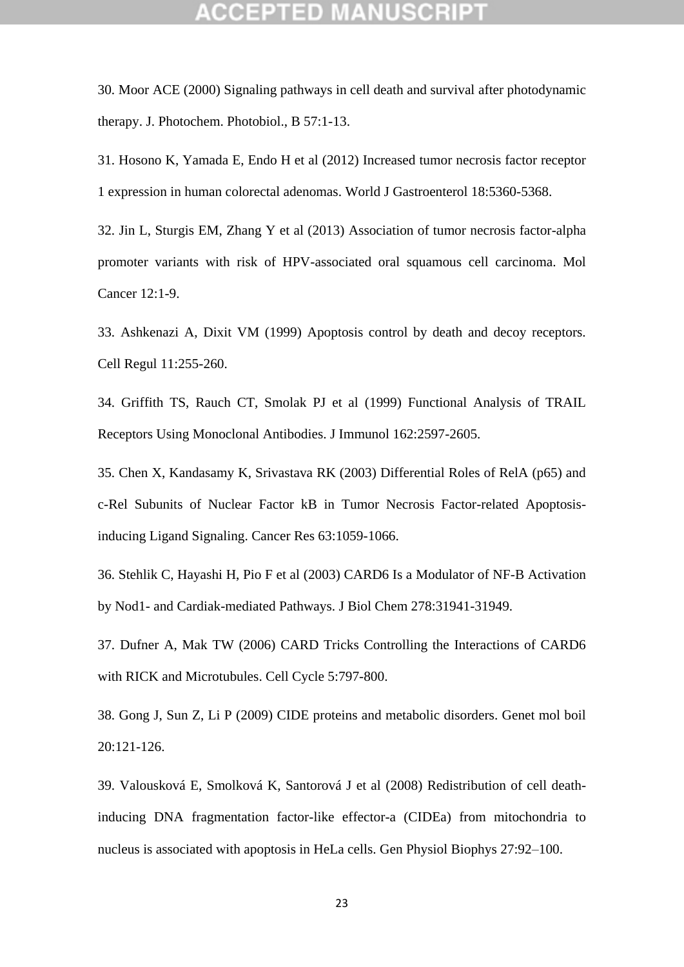30. Moor ACE (2000) Signaling pathways in cell death and survival after photodynamic therapy. J. Photochem. Photobiol., B 57:1-13.

31. Hosono K, Yamada E, Endo H et al (2012) Increased tumor necrosis factor receptor 1 expression in human colorectal adenomas. World J Gastroenterol 18:5360-5368.

32. Jin L, Sturgis EM, Zhang Y et al (2013) Association of tumor necrosis factor-alpha promoter variants with risk of HPV-associated oral squamous cell carcinoma. Mol Cancer 12:1-9.

33. Ashkenazi A, Dixit VM (1999) Apoptosis control by death and decoy receptors. Cell Regul 11:255-260.

34. Griffith TS, Rauch CT, Smolak PJ et al (1999) Functional Analysis of TRAIL Receptors Using Monoclonal Antibodies. J Immunol 162:2597-2605.

35. Chen X, Kandasamy K, Srivastava RK (2003) Differential Roles of RelA (p65) and c-Rel Subunits of Nuclear Factor kB in Tumor Necrosis Factor-related Apoptosisinducing Ligand Signaling. Cancer Res 63:1059-1066.

36. Stehlik C, Hayashi H, Pio F et al (2003) CARD6 Is a Modulator of NF-B Activation by Nod1- and Cardiak-mediated Pathways. J Biol Chem 278:31941-31949.

37. Dufner A, Mak TW (2006) CARD Tricks Controlling the Interactions of CARD6 with RICK and Microtubules. Cell Cycle 5:797-800.

38. Gong J, Sun Z, Li P (2009) CIDE proteins and metabolic disorders. Genet mol boil 20:121-126.

39. Valousková E, Smolková K, Santorová J et al (2008) Redistribution of cell deathinducing DNA fragmentation factor-like effector-a (CIDEa) from mitochondria to nucleus is associated with apoptosis in HeLa cells. Gen Physiol Biophys 27:92–100.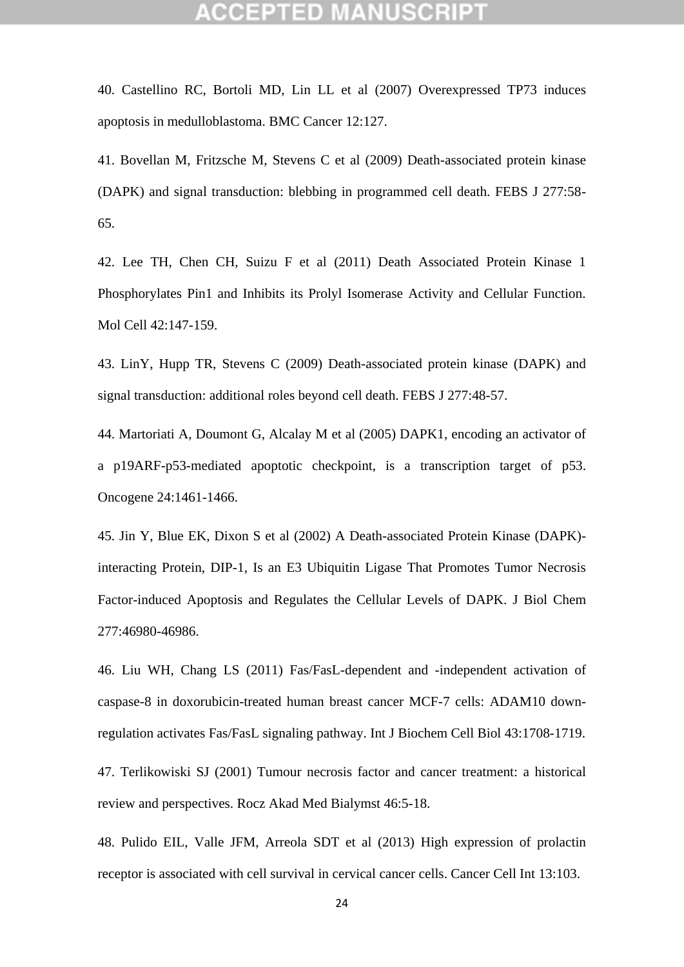## :CEPTED

40. Castellino RC, Bortoli MD, Lin LL et al (2007) Overexpressed TP73 induces apoptosis in medulloblastoma. BMC Cancer 12:127.

41. Bovellan M, Fritzsche M, Stevens C et al (2009) Death-associated protein kinase (DAPK) and signal transduction: blebbing in programmed cell death. FEBS J 277:58- 65.

42. Lee TH, Chen CH, Suizu F et al (2011) Death Associated Protein Kinase 1 Phosphorylates Pin1 and Inhibits its Prolyl Isomerase Activity and Cellular Function. Mol Cell 42:147-159.

43. LinY, Hupp TR, Stevens C (2009) Death-associated protein kinase (DAPK) and signal transduction: additional roles beyond cell death. FEBS J 277:48-57.

44. Martoriati A, Doumont G, Alcalay M et al (2005) DAPK1, encoding an activator of a p19ARF-p53-mediated apoptotic checkpoint, is a transcription target of p53. Oncogene 24:1461-1466.

45. Jin Y, Blue EK, Dixon S et al (2002) A Death-associated Protein Kinase (DAPK) interacting Protein, DIP-1, Is an E3 Ubiquitin Ligase That Promotes Tumor Necrosis Factor-induced Apoptosis and Regulates the Cellular Levels of DAPK. J Biol Chem 277:46980-46986.

46. Liu WH, Chang LS (2011) Fas/FasL-dependent and -independent activation of caspase-8 in doxorubicin-treated human breast cancer MCF-7 cells: ADAM10 downregulation activates Fas/FasL signaling pathway. Int J Biochem Cell Biol 43:1708-1719.

47. Terlikowiski SJ (2001) Tumour necrosis factor and cancer treatment: a historical review and perspectives. Rocz Akad Med Bialymst 46:5-18.

48. Pulido EIL, Valle JFM, Arreola SDT et al (2013) High expression of prolactin receptor is associated with cell survival in cervical cancer cells. Cancer Cell Int 13:103.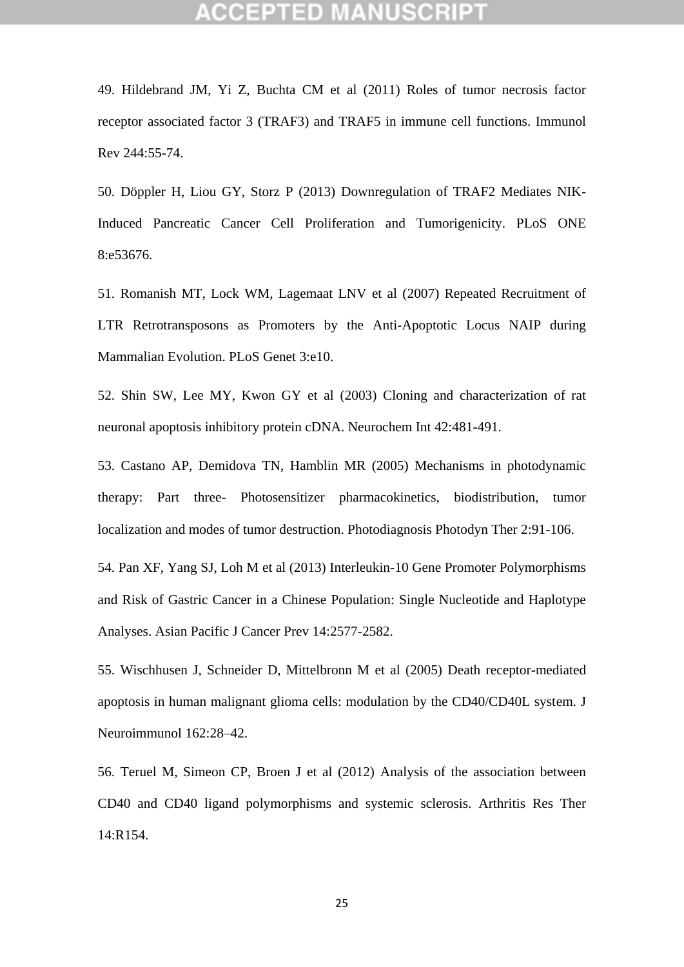49. Hildebrand JM, Yi Z, Buchta CM et al (2011) Roles of tumor necrosis factor receptor associated factor 3 (TRAF3) and TRAF5 in immune cell functions. Immunol Rev 244:55-74.

50. Döppler H, Liou GY, Storz P (2013) Downregulation of TRAF2 Mediates NIK-Induced Pancreatic Cancer Cell Proliferation and Tumorigenicity. PLoS ONE 8:e53676.

51. Romanish MT, Lock WM, Lagemaat LNV et al (2007) Repeated Recruitment of LTR Retrotransposons as Promoters by the Anti-Apoptotic Locus NAIP during Mammalian Evolution. PLoS Genet 3:e10.

52. Shin SW, Lee MY, Kwon GY et al (2003) Cloning and characterization of rat neuronal apoptosis inhibitory protein cDNA. Neurochem Int 42:481-491.

53. Castano AP, Demidova TN, Hamblin MR (2005) Mechanisms in photodynamic therapy: Part three- Photosensitizer pharmacokinetics, biodistribution, tumor localization and modes of tumor destruction. Photodiagnosis Photodyn Ther 2:91-106.

54. Pan XF, Yang SJ, Loh M et al (2013) Interleukin-10 Gene Promoter Polymorphisms and Risk of Gastric Cancer in a Chinese Population: Single Nucleotide and Haplotype Analyses. Asian Pacific J Cancer Prev 14:2577-2582.

55. Wischhusen J, Schneider D, Mittelbronn M et al (2005) Death receptor-mediated apoptosis in human malignant glioma cells: modulation by the CD40/CD40L system. J Neuroimmunol 162:28–42.

56. Teruel M, Simeon CP, Broen J et al (2012) Analysis of the association between CD40 and CD40 ligand polymorphisms and systemic sclerosis. Arthritis Res Ther 14:R154.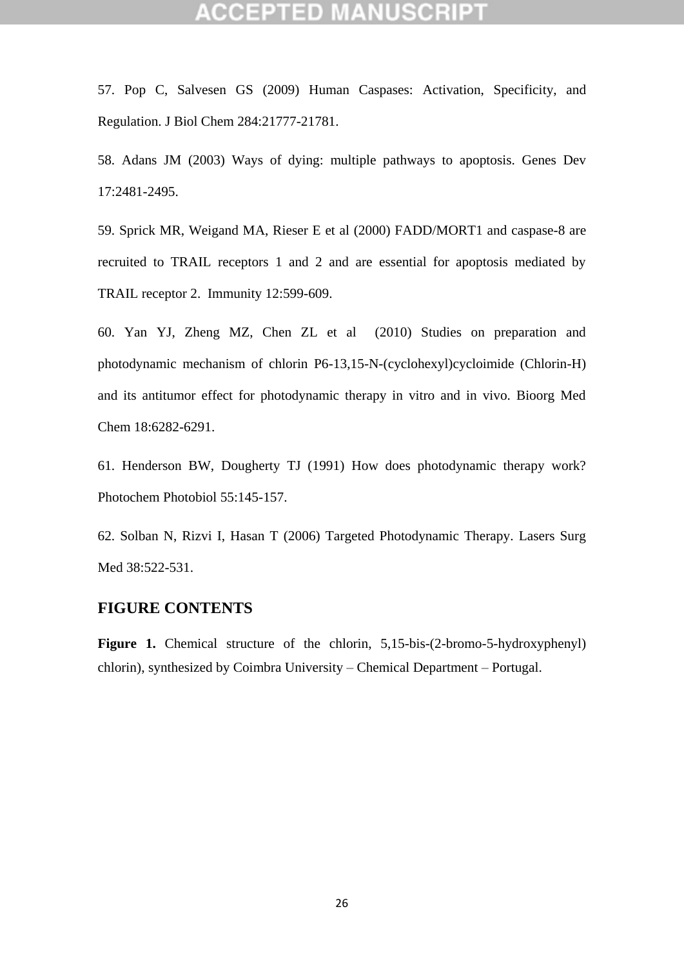57. Pop C, Salvesen GS (2009) Human Caspases: Activation, Specificity, and Regulation. J Biol Chem 284:21777-21781.

58. Adans JM (2003) Ways of dying: multiple pathways to apoptosis. Genes Dev 17:2481-2495.

59. Sprick MR, Weigand MA, Rieser E et al (2000) FADD/MORT1 and caspase-8 are recruited to TRAIL receptors 1 and 2 and are essential for apoptosis mediated by TRAIL receptor 2. Immunity 12:599-609.

60. Yan YJ, Zheng MZ, Chen ZL et al (2010) Studies on preparation and photodynamic mechanism of chlorin P6-13,15-N-(cyclohexyl)cycloimide (Chlorin-H) and its antitumor effect for photodynamic therapy in vitro and in vivo. Bioorg Med Chem 18:6282-6291.

61. Henderson BW, Dougherty TJ (1991) How does photodynamic therapy work? Photochem Photobiol 55:145-157.

62. Solban N, Rizvi I, Hasan T (2006) Targeted Photodynamic Therapy. Lasers Surg Med 38:522-531.

### **FIGURE CONTENTS**

**Figure 1.** Chemical structure of the chlorin, 5,15-bis-(2-bromo-5-hydroxyphenyl) chlorin), synthesized by Coimbra University – Chemical Department – Portugal.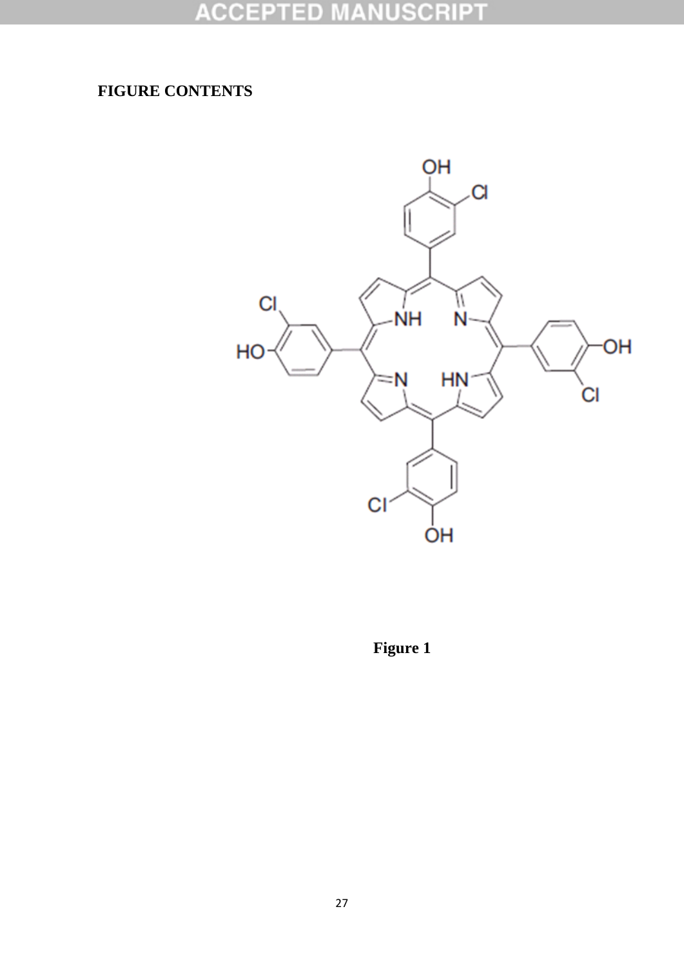## **FIGURE CONTENTS**



 **Figure 1**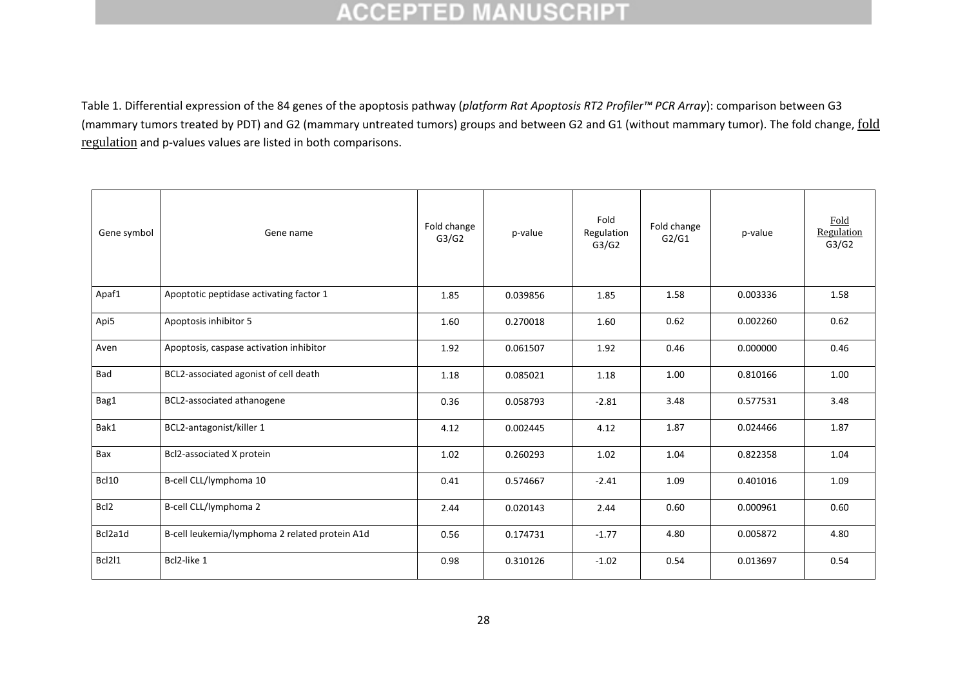Table 1. Differential expression of the 84 genes of the apoptosis pathway (*platform Rat Apoptosis RT2 Profiler™ PCR Array*): comparison between G3 (mammary tumors treated by PDT) and G2 (mammary untreated tumors) groups and between G2 and G1 (without mammary tumor). The [fold](javascript:showLegend() change, fold [regulation](javascript:showLegend() and p-values values are listed in both comparisons.

| Gene symbol      | Gene name                                      | Fold change<br>G3/G2 | p-value  | Fold<br>Regulation<br>G3/G2 | Fold change<br>G2/G1 | p-value  | Fold<br>Regulation<br>G3/G2 |
|------------------|------------------------------------------------|----------------------|----------|-----------------------------|----------------------|----------|-----------------------------|
| Apaf1            | Apoptotic peptidase activating factor 1        | 1.85                 | 0.039856 | 1.85                        | 1.58                 | 0.003336 | 1.58                        |
| Api5             | Apoptosis inhibitor 5                          | 1.60                 | 0.270018 | 1.60                        | 0.62                 | 0.002260 | 0.62                        |
| Aven             | Apoptosis, caspase activation inhibitor        | 1.92                 | 0.061507 | 1.92                        | 0.46                 | 0.000000 | 0.46                        |
| Bad              | BCL2-associated agonist of cell death          | 1.18                 | 0.085021 | 1.18                        | 1.00                 | 0.810166 | 1.00                        |
| Bag1             | BCL2-associated athanogene                     | 0.36                 | 0.058793 | $-2.81$                     | 3.48                 | 0.577531 | 3.48                        |
| Bak1             | BCL2-antagonist/killer 1                       | 4.12                 | 0.002445 | 4.12                        | 1.87                 | 0.024466 | 1.87                        |
| Bax              | Bcl2-associated X protein                      | 1.02                 | 0.260293 | 1.02                        | 1.04                 | 0.822358 | 1.04                        |
| <b>Bcl10</b>     | B-cell CLL/lymphoma 10                         | 0.41                 | 0.574667 | $-2.41$                     | 1.09                 | 0.401016 | 1.09                        |
| Bcl <sub>2</sub> | B-cell CLL/lymphoma 2                          | 2.44                 | 0.020143 | 2.44                        | 0.60                 | 0.000961 | 0.60                        |
| Bcl2a1d          | B-cell leukemia/lymphoma 2 related protein A1d | 0.56                 | 0.174731 | $-1.77$                     | 4.80                 | 0.005872 | 4.80                        |
| Bcl2l1           | Bcl2-like 1                                    | 0.98                 | 0.310126 | $-1.02$                     | 0.54                 | 0.013697 | 0.54                        |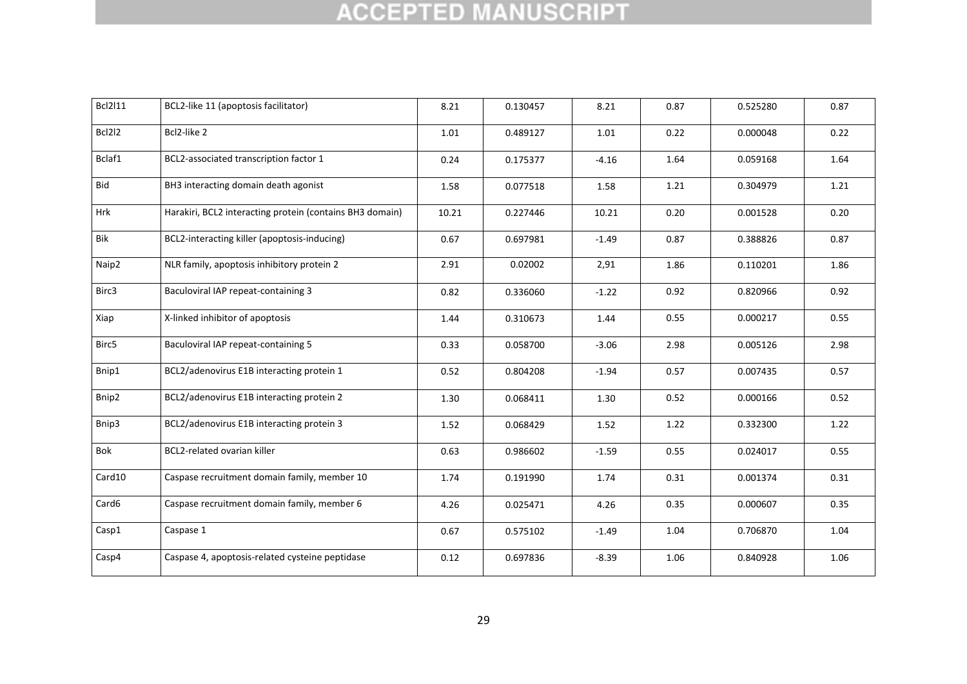| <b>Bcl2l11</b>    | BCL2-like 11 (apoptosis facilitator)                     | 8.21  | 0.130457 | 8.21    | 0.87 | 0.525280 | 0.87 |
|-------------------|----------------------------------------------------------|-------|----------|---------|------|----------|------|
| Bcl2l2            | Bcl2-like 2                                              | 1.01  | 0.489127 | 1.01    | 0.22 | 0.000048 | 0.22 |
| Bclaf1            | BCL2-associated transcription factor 1                   | 0.24  | 0.175377 | $-4.16$ | 1.64 | 0.059168 | 1.64 |
| <b>Bid</b>        | BH3 interacting domain death agonist                     | 1.58  | 0.077518 | 1.58    | 1.21 | 0.304979 | 1.21 |
| Hrk               | Harakiri, BCL2 interacting protein (contains BH3 domain) | 10.21 | 0.227446 | 10.21   | 0.20 | 0.001528 | 0.20 |
| Bik               | BCL2-interacting killer (apoptosis-inducing)             | 0.67  | 0.697981 | $-1.49$ | 0.87 | 0.388826 | 0.87 |
| Naip2             | NLR family, apoptosis inhibitory protein 2               | 2.91  | 0.02002  | 2,91    | 1.86 | 0.110201 | 1.86 |
| Birc3             | Baculoviral IAP repeat-containing 3                      | 0.82  | 0.336060 | $-1.22$ | 0.92 | 0.820966 | 0.92 |
| Xiap              | X-linked inhibitor of apoptosis                          | 1.44  | 0.310673 | 1.44    | 0.55 | 0.000217 | 0.55 |
| Birc5             | Baculoviral IAP repeat-containing 5                      | 0.33  | 0.058700 | $-3.06$ | 2.98 | 0.005126 | 2.98 |
| Bnip1             | BCL2/adenovirus E1B interacting protein 1                | 0.52  | 0.804208 | $-1.94$ | 0.57 | 0.007435 | 0.57 |
| Bnip2             | BCL2/adenovirus E1B interacting protein 2                | 1.30  | 0.068411 | 1.30    | 0.52 | 0.000166 | 0.52 |
| Bnip3             | BCL2/adenovirus E1B interacting protein 3                | 1.52  | 0.068429 | 1.52    | 1.22 | 0.332300 | 1.22 |
| Bok               | BCL2-related ovarian killer                              | 0.63  | 0.986602 | $-1.59$ | 0.55 | 0.024017 | 0.55 |
| Card10            | Caspase recruitment domain family, member 10             | 1.74  | 0.191990 | 1.74    | 0.31 | 0.001374 | 0.31 |
| Card <sub>6</sub> | Caspase recruitment domain family, member 6              | 4.26  | 0.025471 | 4.26    | 0.35 | 0.000607 | 0.35 |
| Casp1             | Caspase 1                                                | 0.67  | 0.575102 | $-1.49$ | 1.04 | 0.706870 | 1.04 |
| Casp4             | Caspase 4, apoptosis-related cysteine peptidase          | 0.12  | 0.697836 | $-8.39$ | 1.06 | 0.840928 | 1.06 |
|                   |                                                          |       |          |         |      |          |      |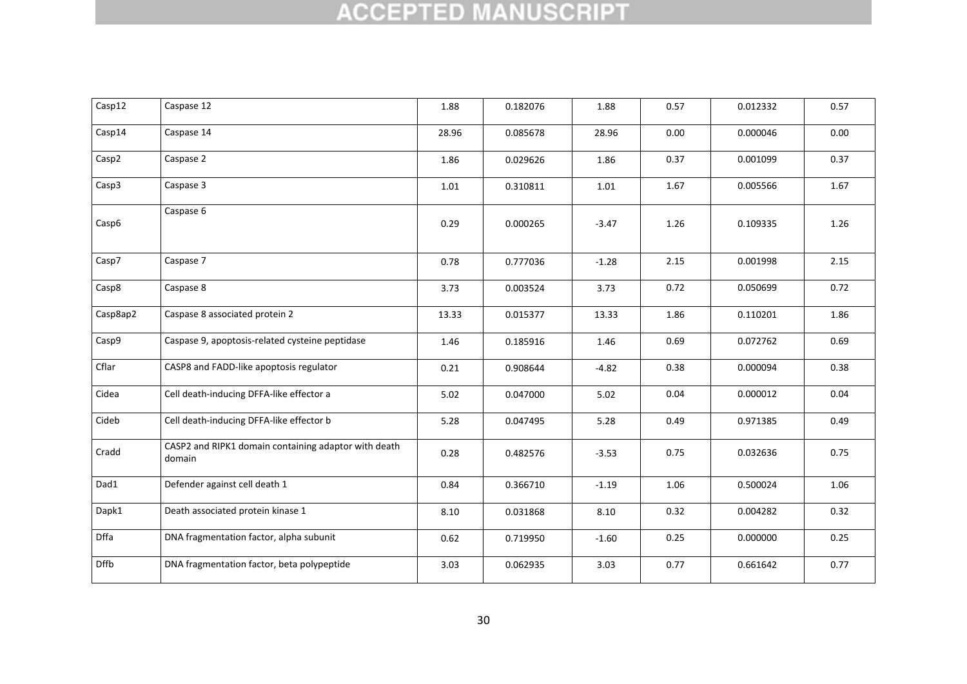| Casp12      | Caspase 12                                                     | 1.88  | 0.182076 | 1.88    | 0.57 | 0.012332 | 0.57 |
|-------------|----------------------------------------------------------------|-------|----------|---------|------|----------|------|
|             |                                                                |       |          |         |      |          |      |
| Casp14      | Caspase 14                                                     | 28.96 | 0.085678 | 28.96   | 0.00 | 0.000046 | 0.00 |
| Casp2       | Caspase 2                                                      | 1.86  | 0.029626 | 1.86    | 0.37 | 0.001099 | 0.37 |
| Casp3       | Caspase 3                                                      | 1.01  | 0.310811 | 1.01    | 1.67 | 0.005566 | 1.67 |
| Casp6       | Caspase 6                                                      | 0.29  | 0.000265 | $-3.47$ | 1.26 | 0.109335 | 1.26 |
| Casp7       | Caspase 7                                                      | 0.78  | 0.777036 | $-1.28$ | 2.15 | 0.001998 | 2.15 |
| Casp8       | Caspase 8                                                      | 3.73  | 0.003524 | 3.73    | 0.72 | 0.050699 | 0.72 |
| Casp8ap2    | Caspase 8 associated protein 2                                 | 13.33 | 0.015377 | 13.33   | 1.86 | 0.110201 | 1.86 |
| Casp9       | Caspase 9, apoptosis-related cysteine peptidase                | 1.46  | 0.185916 | 1.46    | 0.69 | 0.072762 | 0.69 |
| Cflar       | CASP8 and FADD-like apoptosis regulator                        | 0.21  | 0.908644 | $-4.82$ | 0.38 | 0.000094 | 0.38 |
| Cidea       | Cell death-inducing DFFA-like effector a                       | 5.02  | 0.047000 | 5.02    | 0.04 | 0.000012 | 0.04 |
| Cideb       | Cell death-inducing DFFA-like effector b                       | 5.28  | 0.047495 | 5.28    | 0.49 | 0.971385 | 0.49 |
| Cradd       | CASP2 and RIPK1 domain containing adaptor with death<br>domain | 0.28  | 0.482576 | $-3.53$ | 0.75 | 0.032636 | 0.75 |
| Dad1        | Defender against cell death 1                                  | 0.84  | 0.366710 | $-1.19$ | 1.06 | 0.500024 | 1.06 |
| Dapk1       | Death associated protein kinase 1                              | 8.10  | 0.031868 | 8.10    | 0.32 | 0.004282 | 0.32 |
| <b>Dffa</b> | DNA fragmentation factor, alpha subunit                        | 0.62  | 0.719950 | $-1.60$ | 0.25 | 0.000000 | 0.25 |
| <b>Dffb</b> | DNA fragmentation factor, beta polypeptide                     | 3.03  | 0.062935 | 3.03    | 0.77 | 0.661642 | 0.77 |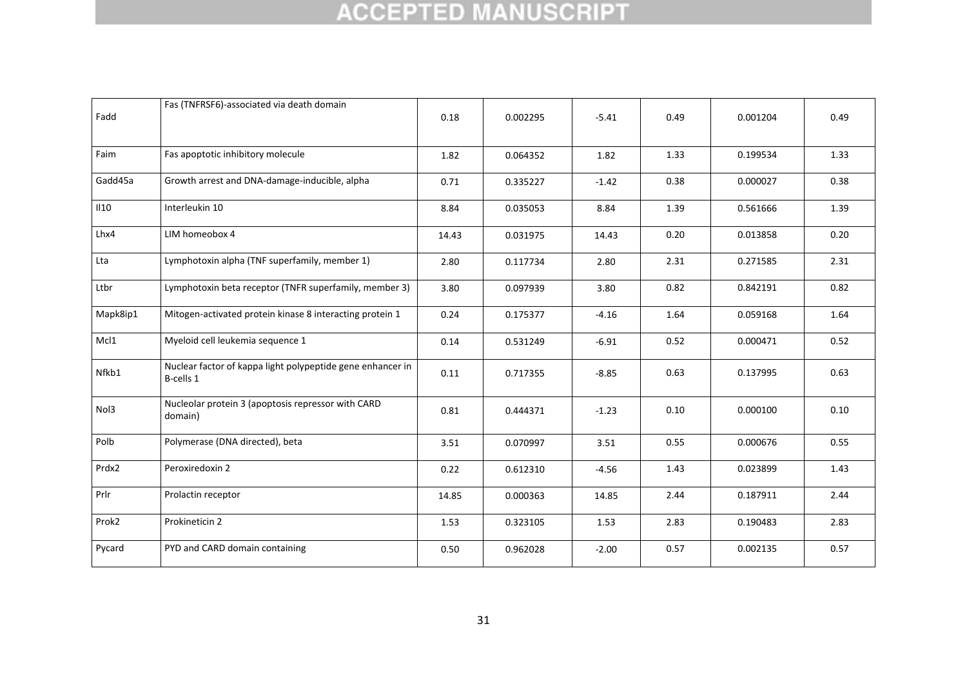|          | Fas (TNFRSF6)-associated via death domain                               |       |          |         |      |          |      |
|----------|-------------------------------------------------------------------------|-------|----------|---------|------|----------|------|
| Fadd     |                                                                         | 0.18  | 0.002295 | $-5.41$ | 0.49 | 0.001204 | 0.49 |
| Faim     | Fas apoptotic inhibitory molecule                                       | 1.82  | 0.064352 | 1.82    | 1.33 | 0.199534 | 1.33 |
| Gadd45a  | Growth arrest and DNA-damage-inducible, alpha                           | 0.71  | 0.335227 | $-1.42$ | 0.38 | 0.000027 | 0.38 |
| II10     | Interleukin 10                                                          | 8.84  | 0.035053 | 8.84    | 1.39 | 0.561666 | 1.39 |
| Lhx4     | LIM homeobox 4                                                          | 14.43 | 0.031975 | 14.43   | 0.20 | 0.013858 | 0.20 |
| Lta      | Lymphotoxin alpha (TNF superfamily, member 1)                           | 2.80  | 0.117734 | 2.80    | 2.31 | 0.271585 | 2.31 |
| Ltbr     | Lymphotoxin beta receptor (TNFR superfamily, member 3)                  | 3.80  | 0.097939 | 3.80    | 0.82 | 0.842191 | 0.82 |
| Mapk8ip1 | Mitogen-activated protein kinase 8 interacting protein 1                | 0.24  | 0.175377 | $-4.16$ | 1.64 | 0.059168 | 1.64 |
| McI1     | Myeloid cell leukemia sequence 1                                        | 0.14  | 0.531249 | $-6.91$ | 0.52 | 0.000471 | 0.52 |
| Nfkb1    | Nuclear factor of kappa light polypeptide gene enhancer in<br>B-cells 1 | 0.11  | 0.717355 | $-8.85$ | 0.63 | 0.137995 | 0.63 |
| Nol3     | Nucleolar protein 3 (apoptosis repressor with CARD<br>domain)           | 0.81  | 0.444371 | $-1.23$ | 0.10 | 0.000100 | 0.10 |
| Polb     | Polymerase (DNA directed), beta                                         | 3.51  | 0.070997 | 3.51    | 0.55 | 0.000676 | 0.55 |
| Prdx2    | Peroxiredoxin 2                                                         | 0.22  | 0.612310 | $-4.56$ | 1.43 | 0.023899 | 1.43 |
| Prlr     | Prolactin receptor                                                      | 14.85 | 0.000363 | 14.85   | 2.44 | 0.187911 | 2.44 |
| Prok2    | Prokineticin 2                                                          | 1.53  | 0.323105 | 1.53    | 2.83 | 0.190483 | 2.83 |
| Pycard   | PYD and CARD domain containing                                          | 0.50  | 0.962028 | $-2.00$ | 0.57 | 0.002135 | 0.57 |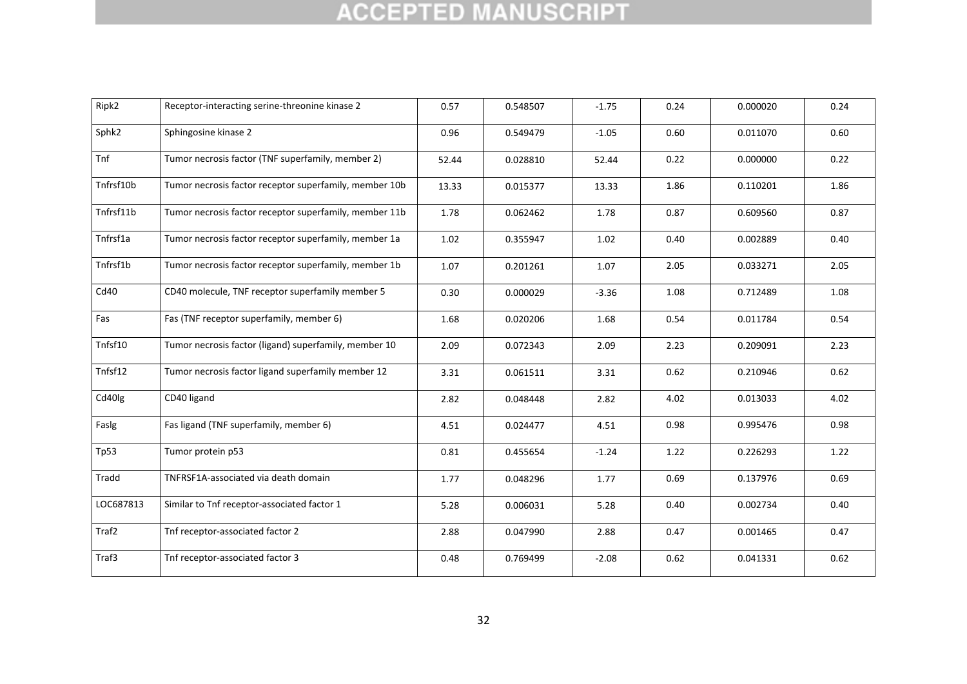| Ripk2     | Receptor-interacting serine-threonine kinase 2         | 0.57  | 0.548507 | $-1.75$ | 0.24 | 0.000020 | 0.24 |
|-----------|--------------------------------------------------------|-------|----------|---------|------|----------|------|
| Sphk2     | Sphingosine kinase 2                                   | 0.96  | 0.549479 | $-1.05$ | 0.60 | 0.011070 | 0.60 |
| Tnf       | Tumor necrosis factor (TNF superfamily, member 2)      | 52.44 | 0.028810 | 52.44   | 0.22 | 0.000000 | 0.22 |
| Tnfrsf10b | Tumor necrosis factor receptor superfamily, member 10b | 13.33 | 0.015377 | 13.33   | 1.86 | 0.110201 | 1.86 |
| Tnfrsf11b | Tumor necrosis factor receptor superfamily, member 11b | 1.78  | 0.062462 | 1.78    | 0.87 | 0.609560 | 0.87 |
| Tnfrsf1a  | Tumor necrosis factor receptor superfamily, member 1a  | 1.02  | 0.355947 | 1.02    | 0.40 | 0.002889 | 0.40 |
| Tnfrsf1b  | Tumor necrosis factor receptor superfamily, member 1b  | 1.07  | 0.201261 | 1.07    | 2.05 | 0.033271 | 2.05 |
| Cd40      | CD40 molecule, TNF receptor superfamily member 5       | 0.30  | 0.000029 | $-3.36$ | 1.08 | 0.712489 | 1.08 |
| Fas       | Fas (TNF receptor superfamily, member 6)               | 1.68  | 0.020206 | 1.68    | 0.54 | 0.011784 | 0.54 |
| Tnfsf10   | Tumor necrosis factor (ligand) superfamily, member 10  | 2.09  | 0.072343 | 2.09    | 2.23 | 0.209091 | 2.23 |
| Tnfsf12   | Tumor necrosis factor ligand superfamily member 12     | 3.31  | 0.061511 | 3.31    | 0.62 | 0.210946 | 0.62 |
| Cd40lg    | CD40 ligand                                            | 2.82  | 0.048448 | 2.82    | 4.02 | 0.013033 | 4.02 |
| Faslg     | Fas ligand (TNF superfamily, member 6)                 | 4.51  | 0.024477 | 4.51    | 0.98 | 0.995476 | 0.98 |
| Tp53      | Tumor protein p53                                      | 0.81  | 0.455654 | $-1.24$ | 1.22 | 0.226293 | 1.22 |
| Tradd     | TNFRSF1A-associated via death domain                   | 1.77  | 0.048296 | 1.77    | 0.69 | 0.137976 | 0.69 |
| LOC687813 | Similar to Tnf receptor-associated factor 1            | 5.28  | 0.006031 | 5.28    | 0.40 | 0.002734 | 0.40 |
| Traf2     | Tnf receptor-associated factor 2                       | 2.88  | 0.047990 | 2.88    | 0.47 | 0.001465 | 0.47 |
| Traf3     | Tnf receptor-associated factor 3                       | 0.48  | 0.769499 | $-2.08$ | 0.62 | 0.041331 | 0.62 |
|           |                                                        |       |          |         |      |          |      |